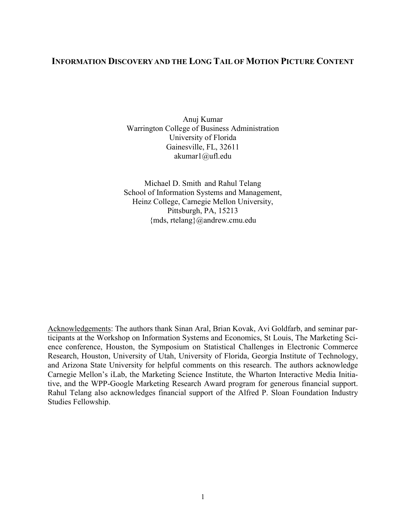# INFORMATION DISCOVERY AND THE LONG TAIL OF MOTION PICTURE CONTENT

Anuj Kumar Warrington College of Business Administration University of Florida Gainesville, FL, 32611 akumar1@ufl.edu

Michael D. Smith and Rahul Telang School of Information Systems and Management, Heinz College, Carnegie Mellon University, Pittsburgh, PA, 15213 {mds, rtelang}@andrew.cmu.edu

Acknowledgements: The authors thank Sinan Aral, Brian Kovak, Avi Goldfarb, and seminar participants at the Workshop on Information Systems and Economics, St Louis, The Marketing Science conference, Houston, the Symposium on Statistical Challenges in Electronic Commerce Research, Houston, University of Utah, University of Florida, Georgia Institute of Technology, and Arizona State University for helpful comments on this research. The authors acknowledge Carnegie Mellon's iLab, the Marketing Science Institute, the Wharton Interactive Media Initiative, and the WPP-Google Marketing Research Award program for generous financial support. Rahul Telang also acknowledges financial support of the Alfred P. Sloan Foundation Industry Studies Fellowship.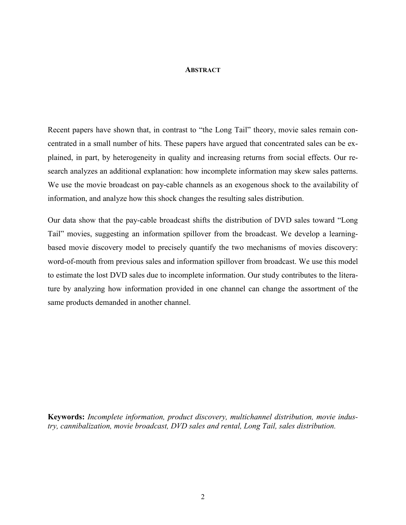### **ABSTRACT**

Recent papers have shown that, in contrast to "the Long Tail" theory, movie sales remain concentrated in a small number of hits. These papers have argued that concentrated sales can be explained, in part, by heterogeneity in quality and increasing returns from social effects. Our research analyzes an additional explanation: how incomplete information may skew sales patterns. We use the movie broadcast on pay-cable channels as an exogenous shock to the availability of information, and analyze how this shock changes the resulting sales distribution.

Our data show that the pay-cable broadcast shifts the distribution of DVD sales toward "Long Tail" movies, suggesting an information spillover from the broadcast. We develop a learningbased movie discovery model to precisely quantify the two mechanisms of movies discovery: word-of-mouth from previous sales and information spillover from broadcast. We use this model to estimate the lost DVD sales due to incomplete information. Our study contributes to the literature by analyzing how information provided in one channel can change the assortment of the same products demanded in another channel.

Keywords: *Incomplete information, product discovery, multichannel distribution, movie industry, cannibalization, movie broadcast, DVD sales and rental, Long Tail, sales distribution.*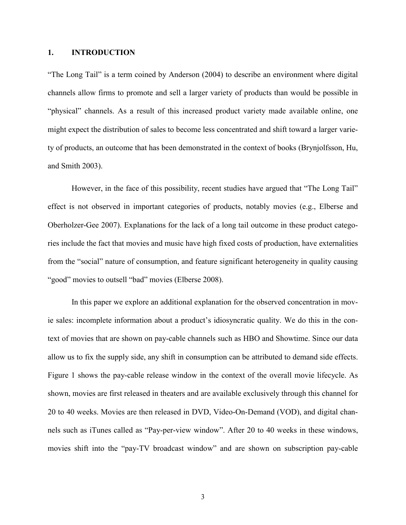## 1. INTRODUCTION

"The Long Tail" is a term coined by Anderson (2004) to describe an environment where digital channels allow firms to promote and sell a larger variety of products than would be possible in "physical" channels. As a result of this increased product variety made available online, one might expect the distribution of sales to become less concentrated and shift toward a larger variety of products, an outcome that has been demonstrated in the context of books (Brynjolfsson, Hu, and Smith 2003).

However, in the face of this possibility, recent studies have argued that "The Long Tail" effect is not observed in important categories of products, notably movies (e.g., Elberse and Oberholzer-Gee 2007). Explanations for the lack of a long tail outcome in these product categories include the fact that movies and music have high fixed costs of production, have externalities from the "social" nature of consumption, and feature significant heterogeneity in quality causing "good" movies to outsell "bad" movies (Elberse 2008).

In this paper we explore an additional explanation for the observed concentration in movie sales: incomplete information about a product's idiosyncratic quality. We do this in the context of movies that are shown on pay-cable channels such as HBO and Showtime. Since our data allow us to fix the supply side, any shift in consumption can be attributed to demand side effects. Figure 1 shows the pay-cable release window in the context of the overall movie lifecycle. As shown, movies are first released in theaters and are available exclusively through this channel for 20 to 40 weeks. Movies are then released in DVD, Video-On-Demand (VOD), and digital channels such as iTunes called as "Pay-per-view window". After 20 to 40 weeks in these windows, movies shift into the "pay-TV broadcast window" and are shown on subscription pay-cable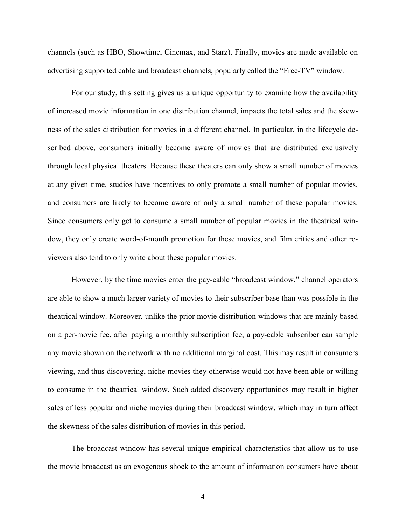channels (such as HBO, Showtime, Cinemax, and Starz). Finally, movies are made available on advertising supported cable and broadcast channels, popularly called the "Free-TV" window.

For our study, this setting gives us a unique opportunity to examine how the availability of increased movie information in one distribution channel, impacts the total sales and the skewness of the sales distribution for movies in a different channel. In particular, in the lifecycle described above, consumers initially become aware of movies that are distributed exclusively through local physical theaters. Because these theaters can only show a small number of movies at any given time, studios have incentives to only promote a small number of popular movies, and consumers are likely to become aware of only a small number of these popular movies. Since consumers only get to consume a small number of popular movies in the theatrical window, they only create word-of-mouth promotion for these movies, and film critics and other reviewers also tend to only write about these popular movies.

However, by the time movies enter the pay-cable "broadcast window," channel operators are able to show a much larger variety of movies to their subscriber base than was possible in the theatrical window. Moreover, unlike the prior movie distribution windows that are mainly based on a per-movie fee, after paying a monthly subscription fee, a pay-cable subscriber can sample any movie shown on the network with no additional marginal cost. This may result in consumers viewing, and thus discovering, niche movies they otherwise would not have been able or willing to consume in the theatrical window. Such added discovery opportunities may result in higher sales of less popular and niche movies during their broadcast window, which may in turn affect the skewness of the sales distribution of movies in this period.

The broadcast window has several unique empirical characteristics that allow us to use the movie broadcast as an exogenous shock to the amount of information consumers have about

4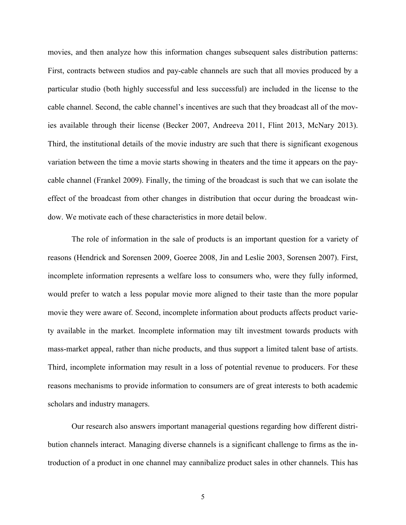movies, and then analyze how this information changes subsequent sales distribution patterns: First, contracts between studios and pay-cable channels are such that all movies produced by a particular studio (both highly successful and less successful) are included in the license to the cable channel. Second, the cable channel's incentives are such that they broadcast all of the movies available through their license (Becker 2007, Andreeva 2011, Flint 2013, McNary 2013). Third, the institutional details of the movie industry are such that there is significant exogenous variation between the time a movie starts showing in theaters and the time it appears on the paycable channel (Frankel 2009). Finally, the timing of the broadcast is such that we can isolate the effect of the broadcast from other changes in distribution that occur during the broadcast window. We motivate each of these characteristics in more detail below.

The role of information in the sale of products is an important question for a variety of reasons (Hendrick and Sorensen 2009, Goeree 2008, Jin and Leslie 2003, Sorensen 2007). First, incomplete information represents a welfare loss to consumers who, were they fully informed, would prefer to watch a less popular movie more aligned to their taste than the more popular movie they were aware of. Second, incomplete information about products affects product variety available in the market. Incomplete information may tilt investment towards products with mass-market appeal, rather than niche products, and thus support a limited talent base of artists. Third, incomplete information may result in a loss of potential revenue to producers. For these reasons mechanisms to provide information to consumers are of great interests to both academic scholars and industry managers.

Our research also answers important managerial questions regarding how different distribution channels interact. Managing diverse channels is a significant challenge to firms as the introduction of a product in one channel may cannibalize product sales in other channels. This has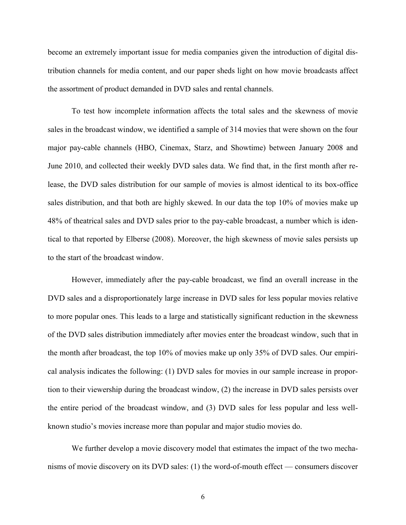become an extremely important issue for media companies given the introduction of digital distribution channels for media content, and our paper sheds light on how movie broadcasts affect the assortment of product demanded in DVD sales and rental channels.

To test how incomplete information affects the total sales and the skewness of movie sales in the broadcast window, we identified a sample of 314 movies that were shown on the four major pay-cable channels (HBO, Cinemax, Starz, and Showtime) between January 2008 and June 2010, and collected their weekly DVD sales data. We find that, in the first month after release, the DVD sales distribution for our sample of movies is almost identical to its box-office sales distribution, and that both are highly skewed. In our data the top 10% of movies make up 48% of theatrical sales and DVD sales prior to the pay-cable broadcast, a number which is identical to that reported by Elberse (2008). Moreover, the high skewness of movie sales persists up to the start of the broadcast window.

However, immediately after the pay-cable broadcast, we find an overall increase in the DVD sales and a disproportionately large increase in DVD sales for less popular movies relative to more popular ones. This leads to a large and statistically significant reduction in the skewness of the DVD sales distribution immediately after movies enter the broadcast window, such that in the month after broadcast, the top 10% of movies make up only 35% of DVD sales. Our empirical analysis indicates the following: (1) DVD sales for movies in our sample increase in proportion to their viewership during the broadcast window, (2) the increase in DVD sales persists over the entire period of the broadcast window, and (3) DVD sales for less popular and less wellknown studio's movies increase more than popular and major studio movies do.

We further develop a movie discovery model that estimates the impact of the two mechanisms of movie discovery on its DVD sales: (1) the word-of-mouth effect — consumers discover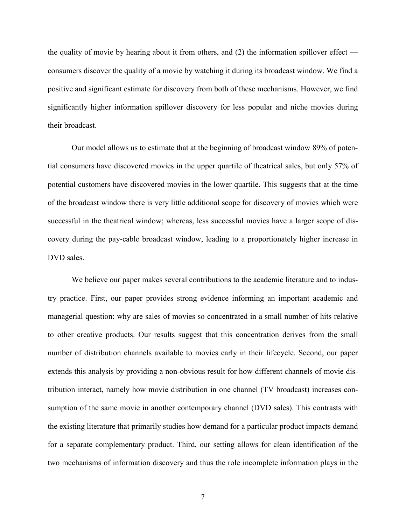the quality of movie by hearing about it from others, and  $(2)$  the information spillover effect consumers discover the quality of a movie by watching it during its broadcast window. We find a positive and significant estimate for discovery from both of these mechanisms. However, we find significantly higher information spillover discovery for less popular and niche movies during their broadcast.

Our model allows us to estimate that at the beginning of broadcast window 89% of potential consumers have discovered movies in the upper quartile of theatrical sales, but only 57% of potential customers have discovered movies in the lower quartile. This suggests that at the time of the broadcast window there is very little additional scope for discovery of movies which were successful in the theatrical window; whereas, less successful movies have a larger scope of discovery during the pay-cable broadcast window, leading to a proportionately higher increase in DVD sales.

We believe our paper makes several contributions to the academic literature and to industry practice. First, our paper provides strong evidence informing an important academic and managerial question: why are sales of movies so concentrated in a small number of hits relative to other creative products. Our results suggest that this concentration derives from the small number of distribution channels available to movies early in their lifecycle. Second, our paper extends this analysis by providing a non-obvious result for how different channels of movie distribution interact, namely how movie distribution in one channel (TV broadcast) increases consumption of the same movie in another contemporary channel (DVD sales). This contrasts with the existing literature that primarily studies how demand for a particular product impacts demand for a separate complementary product. Third, our setting allows for clean identification of the two mechanisms of information discovery and thus the role incomplete information plays in the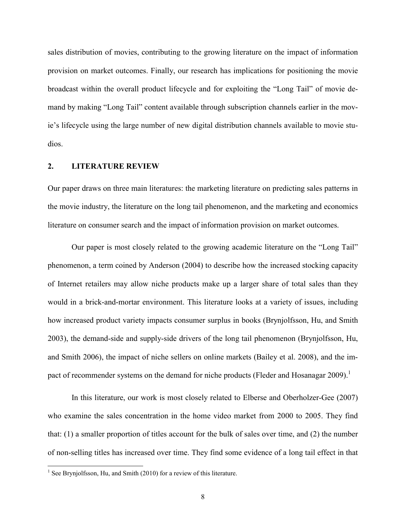sales distribution of movies, contributing to the growing literature on the impact of information provision on market outcomes. Finally, our research has implications for positioning the movie broadcast within the overall product lifecycle and for exploiting the "Long Tail" of movie demand by making "Long Tail" content available through subscription channels earlier in the movie's lifecycle using the large number of new digital distribution channels available to movie studios.

#### 2. LITERATURE REVIEW

Our paper draws on three main literatures: the marketing literature on predicting sales patterns in the movie industry, the literature on the long tail phenomenon, and the marketing and economics literature on consumer search and the impact of information provision on market outcomes.

Our paper is most closely related to the growing academic literature on the "Long Tail" phenomenon, a term coined by Anderson (2004) to describe how the increased stocking capacity of Internet retailers may allow niche products make up a larger share of total sales than they would in a brick-and-mortar environment. This literature looks at a variety of issues, including how increased product variety impacts consumer surplus in books (Brynjolfsson, Hu, and Smith 2003), the demand-side and supply-side drivers of the long tail phenomenon (Brynjolfsson, Hu, and Smith 2006), the impact of niche sellers on online markets (Bailey et al. 2008), and the impact of recommender systems on the demand for niche products (Fleder and Hosanagar 2009).<sup>1</sup>

In this literature, our work is most closely related to Elberse and Oberholzer-Gee (2007) who examine the sales concentration in the home video market from 2000 to 2005. They find that: (1) a smaller proportion of titles account for the bulk of sales over time, and (2) the number of non-selling titles has increased over time. They find some evidence of a long tail effect in that

 $<sup>1</sup>$  See Brynjolfsson, Hu, and Smith (2010) for a review of this literature.</sup>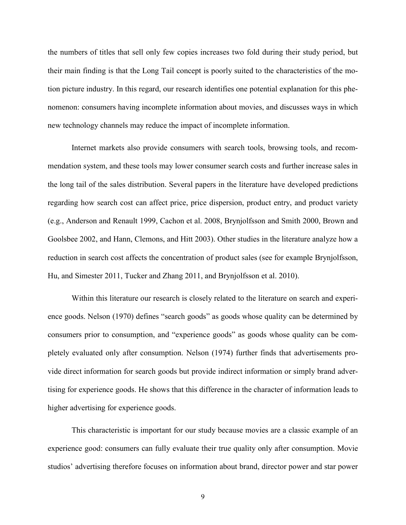the numbers of titles that sell only few copies increases two fold during their study period, but their main finding is that the Long Tail concept is poorly suited to the characteristics of the motion picture industry. In this regard, our research identifies one potential explanation for this phenomenon: consumers having incomplete information about movies, and discusses ways in which new technology channels may reduce the impact of incomplete information.

Internet markets also provide consumers with search tools, browsing tools, and recommendation system, and these tools may lower consumer search costs and further increase sales in the long tail of the sales distribution. Several papers in the literature have developed predictions regarding how search cost can affect price, price dispersion, product entry, and product variety (e.g., Anderson and Renault 1999, Cachon et al. 2008, Brynjolfsson and Smith 2000, Brown and Goolsbee 2002, and Hann, Clemons, and Hitt 2003). Other studies in the literature analyze how a reduction in search cost affects the concentration of product sales (see for example Brynjolfsson, Hu, and Simester 2011, Tucker and Zhang 2011, and Brynjolfsson et al. 2010).

Within this literature our research is closely related to the literature on search and experience goods. Nelson (1970) defines "search goods" as goods whose quality can be determined by consumers prior to consumption, and "experience goods" as goods whose quality can be completely evaluated only after consumption. Nelson (1974) further finds that advertisements provide direct information for search goods but provide indirect information or simply brand advertising for experience goods. He shows that this difference in the character of information leads to higher advertising for experience goods.

This characteristic is important for our study because movies are a classic example of an experience good: consumers can fully evaluate their true quality only after consumption. Movie studios' advertising therefore focuses on information about brand, director power and star power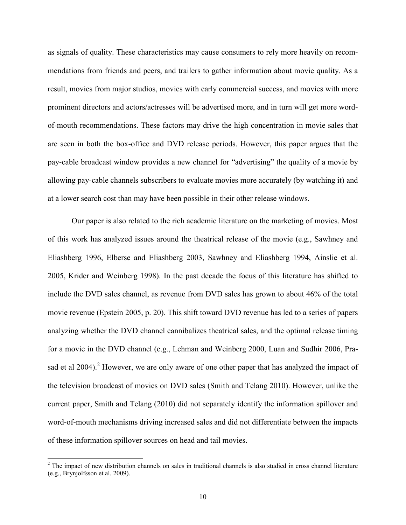as signals of quality. These characteristics may cause consumers to rely more heavily on recommendations from friends and peers, and trailers to gather information about movie quality. As a result, movies from major studios, movies with early commercial success, and movies with more prominent directors and actors/actresses will be advertised more, and in turn will get more wordof-mouth recommendations. These factors may drive the high concentration in movie sales that are seen in both the box-office and DVD release periods. However, this paper argues that the pay-cable broadcast window provides a new channel for "advertising" the quality of a movie by allowing pay-cable channels subscribers to evaluate movies more accurately (by watching it) and at a lower search cost than may have been possible in their other release windows.

Our paper is also related to the rich academic literature on the marketing of movies. Most of this work has analyzed issues around the theatrical release of the movie (e.g., Sawhney and Eliashberg 1996, Elberse and Eliashberg 2003, Sawhney and Eliashberg 1994, Ainslie et al. 2005, Krider and Weinberg 1998). In the past decade the focus of this literature has shifted to include the DVD sales channel, as revenue from DVD sales has grown to about 46% of the total movie revenue (Epstein 2005, p. 20). This shift toward DVD revenue has led to a series of papers analyzing whether the DVD channel cannibalizes theatrical sales, and the optimal release timing for a movie in the DVD channel (e.g., Lehman and Weinberg 2000, Luan and Sudhir 2006, Prasad et al 2004).<sup>2</sup> However, we are only aware of one other paper that has analyzed the impact of the television broadcast of movies on DVD sales (Smith and Telang 2010). However, unlike the current paper, Smith and Telang (2010) did not separately identify the information spillover and word-of-mouth mechanisms driving increased sales and did not differentiate between the impacts of these information spillover sources on head and tail movies.

 $2$  The impact of new distribution channels on sales in traditional channels is also studied in cross channel literature (e.g., Brynjolfsson et al. 2009).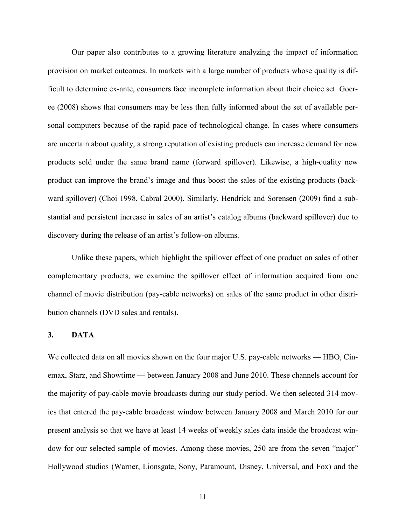Our paper also contributes to a growing literature analyzing the impact of information provision on market outcomes. In markets with a large number of products whose quality is difficult to determine ex-ante, consumers face incomplete information about their choice set. Goeree (2008) shows that consumers may be less than fully informed about the set of available personal computers because of the rapid pace of technological change. In cases where consumers are uncertain about quality, a strong reputation of existing products can increase demand for new products sold under the same brand name (forward spillover). Likewise, a high-quality new product can improve the brand's image and thus boost the sales of the existing products (backward spillover) (Choi 1998, Cabral 2000). Similarly, Hendrick and Sorensen (2009) find a substantial and persistent increase in sales of an artist's catalog albums (backward spillover) due to discovery during the release of an artist's follow-on albums.

Unlike these papers, which highlight the spillover effect of one product on sales of other complementary products, we examine the spillover effect of information acquired from one channel of movie distribution (pay-cable networks) on sales of the same product in other distribution channels (DVD sales and rentals).

#### 3. DATA

We collected data on all movies shown on the four major U.S. pay-cable networks — HBO, Cinemax, Starz, and Showtime — between January 2008 and June 2010. These channels account for the majority of pay-cable movie broadcasts during our study period. We then selected 314 movies that entered the pay-cable broadcast window between January 2008 and March 2010 for our present analysis so that we have at least 14 weeks of weekly sales data inside the broadcast window for our selected sample of movies. Among these movies, 250 are from the seven "major" Hollywood studios (Warner, Lionsgate, Sony, Paramount, Disney, Universal, and Fox) and the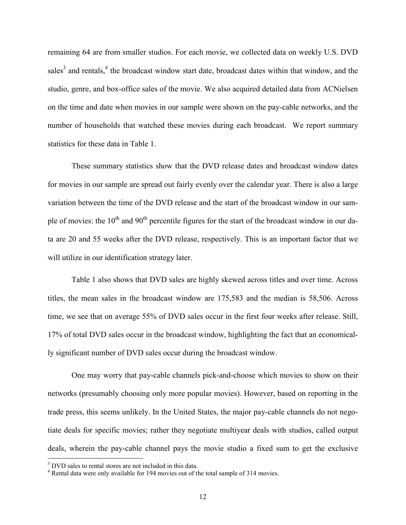remaining 64 are from smaller studios. For each movie, we collected data on weekly U.S. DVD sales<sup>3</sup> and rentals,<sup>4</sup> the broadcast window start date, broadcast dates within that window, and the studio, genre, and box-office sales of the movie. We also acquired detailed data from ACNielsen on the time and date when movies in our sample were shown on the pay-cable networks, and the number of households that watched these movies during each broadcast. We report summary statistics for these data in Table 1.

These summary statistics show that the DVD release dates and broadcast window dates for movies in our sample are spread out fairly evenly over the calendar year. There is also a large variation between the time of the DVD release and the start of the broadcast window in our sample of movies: the  $10<sup>th</sup>$  and  $90<sup>th</sup>$  percentile figures for the start of the broadcast window in our data are 20 and 55 weeks after the DVD release, respectively. This is an important factor that we will utilize in our identification strategy later.

Table 1 also shows that DVD sales are highly skewed across titles and over time. Across titles, the mean sales in the broadcast window are 175,583 and the median is 58,506. Across time, we see that on average 55% of DVD sales occur in the first four weeks after release. Still, 17% of total DVD sales occur in the broadcast window, highlighting the fact that an economically significant number of DVD sales occur during the broadcast window.

One may worry that pay-cable channels pick-and-choose which movies to show on their networks (presumably choosing only more popular movies). However, based on reporting in the trade press, this seems unlikely. In the United States, the major pay-cable channels do not negotiate deals for specific movies; rather they negotiate multiyear deals with studios, called output deals, wherein the pay-cable channel pays the movie studio a fixed sum to get the exclusive

<sup>&</sup>lt;sup>3</sup> DVD sales to rental stores are not included in this data.

<sup>4</sup> Rental data were only available for 194 movies out of the total sample of 314 movies.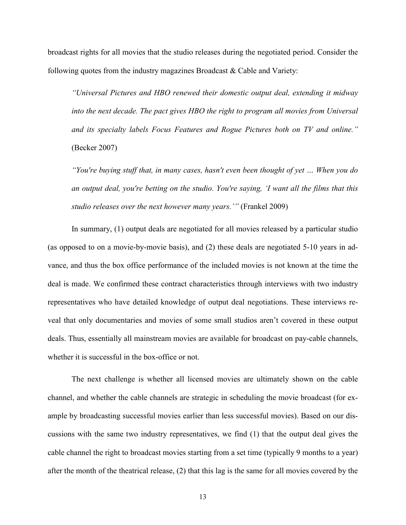broadcast rights for all movies that the studio releases during the negotiated period. Consider the following quotes from the industry magazines Broadcast & Cable and Variety:

*"Universal Pictures and HBO renewed their domestic output deal, extending it midway into the next decade. The pact gives HBO the right to program all movies from Universal and its specialty labels Focus Features and Rogue Pictures both on TV and online."*  (Becker 2007)

*"You're buying stuff that, in many cases, hasn't even been thought of yet … When you do an output deal, you're betting on the studio. You're saying, 'I want all the films that this studio releases over the next however many years.'"* (Frankel 2009)

In summary, (1) output deals are negotiated for all movies released by a particular studio (as opposed to on a movie-by-movie basis), and (2) these deals are negotiated 5-10 years in advance, and thus the box office performance of the included movies is not known at the time the deal is made. We confirmed these contract characteristics through interviews with two industry representatives who have detailed knowledge of output deal negotiations. These interviews reveal that only documentaries and movies of some small studios aren't covered in these output deals. Thus, essentially all mainstream movies are available for broadcast on pay-cable channels, whether it is successful in the box-office or not.

The next challenge is whether all licensed movies are ultimately shown on the cable channel, and whether the cable channels are strategic in scheduling the movie broadcast (for example by broadcasting successful movies earlier than less successful movies). Based on our discussions with the same two industry representatives, we find (1) that the output deal gives the cable channel the right to broadcast movies starting from a set time (typically 9 months to a year) after the month of the theatrical release, (2) that this lag is the same for all movies covered by the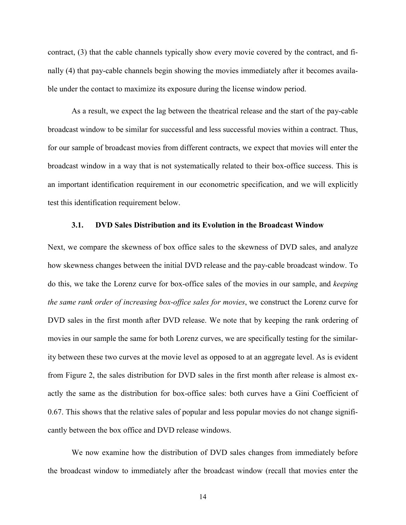contract, (3) that the cable channels typically show every movie covered by the contract, and finally (4) that pay-cable channels begin showing the movies immediately after it becomes available under the contact to maximize its exposure during the license window period.

As a result, we expect the lag between the theatrical release and the start of the pay-cable broadcast window to be similar for successful and less successful movies within a contract. Thus, for our sample of broadcast movies from different contracts, we expect that movies will enter the broadcast window in a way that is not systematically related to their box-office success. This is an important identification requirement in our econometric specification, and we will explicitly test this identification requirement below.

#### 3.1. DVD Sales Distribution and its Evolution in the Broadcast Window

Next, we compare the skewness of box office sales to the skewness of DVD sales, and analyze how skewness changes between the initial DVD release and the pay-cable broadcast window. To do this, we take the Lorenz curve for box-office sales of the movies in our sample, and *keeping the same rank order of increasing box-office sales for movies*, we construct the Lorenz curve for DVD sales in the first month after DVD release. We note that by keeping the rank ordering of movies in our sample the same for both Lorenz curves, we are specifically testing for the similarity between these two curves at the movie level as opposed to at an aggregate level. As is evident from Figure 2, the sales distribution for DVD sales in the first month after release is almost exactly the same as the distribution for box-office sales: both curves have a Gini Coefficient of 0.67. This shows that the relative sales of popular and less popular movies do not change significantly between the box office and DVD release windows.

We now examine how the distribution of DVD sales changes from immediately before the broadcast window to immediately after the broadcast window (recall that movies enter the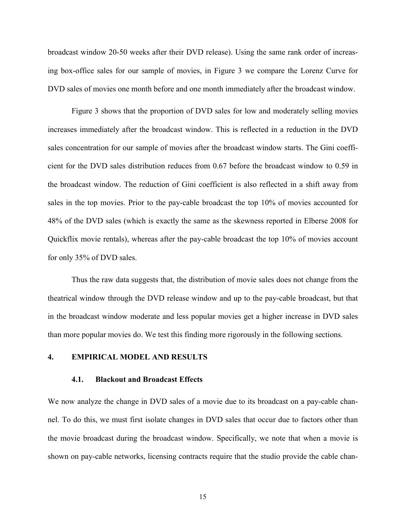broadcast window 20-50 weeks after their DVD release). Using the same rank order of increasing box-office sales for our sample of movies, in Figure 3 we compare the Lorenz Curve for DVD sales of movies one month before and one month immediately after the broadcast window.

Figure 3 shows that the proportion of DVD sales for low and moderately selling movies increases immediately after the broadcast window. This is reflected in a reduction in the DVD sales concentration for our sample of movies after the broadcast window starts. The Gini coefficient for the DVD sales distribution reduces from 0.67 before the broadcast window to 0.59 in the broadcast window. The reduction of Gini coefficient is also reflected in a shift away from sales in the top movies. Prior to the pay-cable broadcast the top 10% of movies accounted for 48% of the DVD sales (which is exactly the same as the skewness reported in Elberse 2008 for Quickflix movie rentals), whereas after the pay-cable broadcast the top 10% of movies account for only 35% of DVD sales.

Thus the raw data suggests that, the distribution of movie sales does not change from the theatrical window through the DVD release window and up to the pay-cable broadcast, but that in the broadcast window moderate and less popular movies get a higher increase in DVD sales than more popular movies do. We test this finding more rigorously in the following sections.

## 4. EMPIRICAL MODEL AND RESULTS

## 4.1. Blackout and Broadcast Effects

We now analyze the change in DVD sales of a movie due to its broadcast on a pay-cable channel. To do this, we must first isolate changes in DVD sales that occur due to factors other than the movie broadcast during the broadcast window. Specifically, we note that when a movie is shown on pay-cable networks, licensing contracts require that the studio provide the cable chan-

15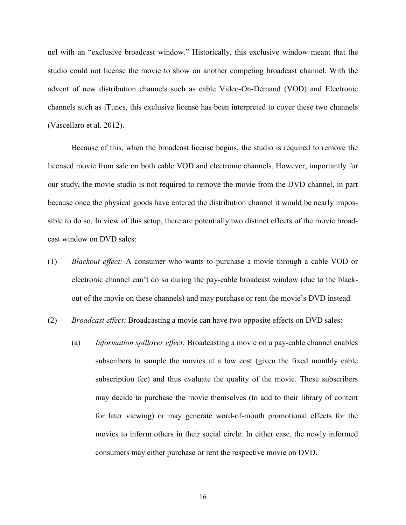nel with an "exclusive broadcast window." Historically, this exclusive window meant that the studio could not license the movie to show on another competing broadcast channel. With the advent of new distribution channels such as cable Video-On-Demand (VOD) and Electronic channels such as iTunes, this exclusive license has been interpreted to cover these two channels (Vascellaro et al. 2012).

Because of this, when the broadcast license begins, the studio is required to remove the licensed movie from sale on both cable VOD and electronic channels. However, importantly for our study, the movie studio is not required to remove the movie from the DVD channel, in part because once the physical goods have entered the distribution channel it would be nearly impossible to do so. In view of this setup, there are potentially two distinct effects of the movie broadcast window on DVD sales:

- (1) *Blackout effect:* A consumer who wants to purchase a movie through a cable VOD or electronic channel can't do so during the pay-cable broadcast window (due to the blackout of the movie on these channels) and may purchase or rent the movie's DVD instead.
- (2) *Broadcast effect:* Broadcasting a movie can have two opposite effects on DVD sales:
	- (a) *Information spillover effect:* Broadcasting a movie on a pay-cable channel enables subscribers to sample the movies at a low cost (given the fixed monthly cable subscription fee) and thus evaluate the quality of the movie. These subscribers may decide to purchase the movie themselves (to add to their library of content for later viewing) or may generate word-of-mouth promotional effects for the movies to inform others in their social circle. In either case, the newly informed consumers may either purchase or rent the respective movie on DVD.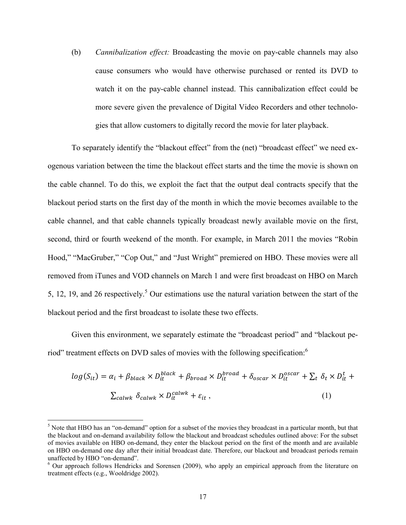(b) *Cannibalization effect:* Broadcasting the movie on pay-cable channels may also cause consumers who would have otherwise purchased or rented its DVD to watch it on the pay-cable channel instead. This cannibalization effect could be more severe given the prevalence of Digital Video Recorders and other technologies that allow customers to digitally record the movie for later playback.

To separately identify the "blackout effect" from the (net) "broadcast effect" we need exogenous variation between the time the blackout effect starts and the time the movie is shown on the cable channel. To do this, we exploit the fact that the output deal contracts specify that the blackout period starts on the first day of the month in which the movie becomes available to the cable channel, and that cable channels typically broadcast newly available movie on the first, second, third or fourth weekend of the month. For example, in March 2011 the movies "Robin Hood," "MacGruber," "Cop Out," and "Just Wright" premiered on HBO. These movies were all removed from iTunes and VOD channels on March 1 and were first broadcast on HBO on March 5, 12, 19, and 26 respectively.<sup>5</sup> Our estimations use the natural variation between the start of the blackout period and the first broadcast to isolate these two effects.

Given this environment, we separately estimate the "broadcast period" and "blackout period" treatment effects on DVD sales of movies with the following specification:<sup>6</sup>

$$
log(S_{it}) = \alpha_i + \beta_{black} \times D_{it}^{black} + \beta_{broad} \times D_{it}^{broad} + \delta_{oscar} \times D_{it}^{oscar} + \sum_t \delta_t \times D_{it}^t + \sum_{calauwk} \delta_{calwk} \times D_{it}^{calwk} + \varepsilon_{it},
$$
\n(1)

 $<sup>5</sup>$  Note that HBO has an "on-demand" option for a subset of the movies they broadcast in a particular month, but that</sup> the blackout and on-demand availability follow the blackout and broadcast schedules outlined above: For the subset of movies available on HBO on-demand, they enter the blackout period on the first of the month and are available on HBO on-demand one day after their initial broadcast date. Therefore, our blackout and broadcast periods remain unaffected by HBO "on-demand".

<sup>&</sup>lt;sup>6</sup> Our approach follows Hendricks and Sorensen (2009), who apply an empirical approach from the literature on treatment effects (e.g., Wooldridge 2002).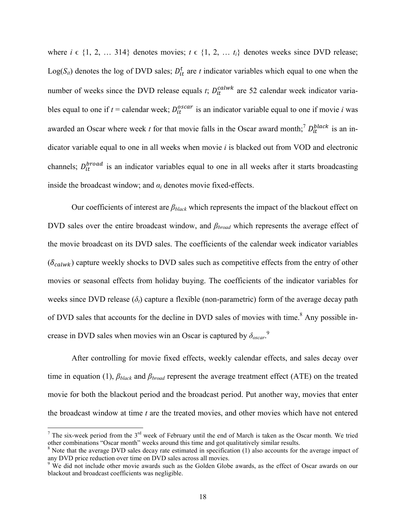where  $i \in \{1, 2, \ldots, 314\}$  denotes movies;  $t \in \{1, 2, \ldots, t_i\}$  denotes weeks since DVD release; Log( $S_{it}$ ) denotes the log of DVD sales;  $D_{it}^t$  are *t* indicator variables which equal to one when the number of weeks since the DVD release equals  $t$ ;  $D_{it}^{calwk}$  are 52 calendar week indicator variables equal to one if  $t =$  calendar week;  $D_{it}^{oscar}$  is an indicator variable equal to one if movie *i* was awarded an Oscar where week *t* for that movie falls in the Oscar award month;<sup>7</sup>  $D_{it}^{black}$  is an indicator variable equal to one in all weeks when movie *i* is blacked out from VOD and electronic channels;  $D_{it}^{broad}$  is an indicator variables equal to one in all weeks after it starts broadcasting inside the broadcast window; and  $\alpha_i$  denotes movie fixed-effects.

Our coefficients of interest are *βblack* which represents the impact of the blackout effect on DVD sales over the entire broadcast window, and *βbroad* which represents the average effect of the movie broadcast on its DVD sales. The coefficients of the calendar week indicator variables  $(\delta_{\text{calwk}})$  capture weekly shocks to DVD sales such as competitive effects from the entry of other movies or seasonal effects from holiday buying. The coefficients of the indicator variables for weeks since DVD release  $(\delta_t)$  capture a flexible (non-parametric) form of the average decay path of DVD sales that accounts for the decline in DVD sales of movies with time.<sup>8</sup> Any possible increase in DVD sales when movies win an Oscar is captured by  $\delta_{\text{oscar}}$ <sup>9</sup>

After controlling for movie fixed effects, weekly calendar effects, and sales decay over time in equation (1), *βblack* and *βbroad* represent the average treatment effect (ATE) on the treated movie for both the blackout period and the broadcast period. Put another way, movies that enter the broadcast window at time *t* are the treated movies, and other movies which have not entered

 $7$  The six-week period from the  $3<sup>rd</sup>$  week of February until the end of March is taken as the Oscar month. We tried other combinations "Oscar month" weeks around this time and got qualitatively similar results.

<sup>&</sup>lt;sup>8</sup> Note that the average DVD sales decay rate estimated in specification (1) also accounts for the average impact of any DVD price reduction over time on DVD sales across all movies.

<sup>&</sup>lt;sup>9</sup> We did not include other movie awards such as the Golden Globe awards, as the effect of Oscar awards on our blackout and broadcast coefficients was negligible.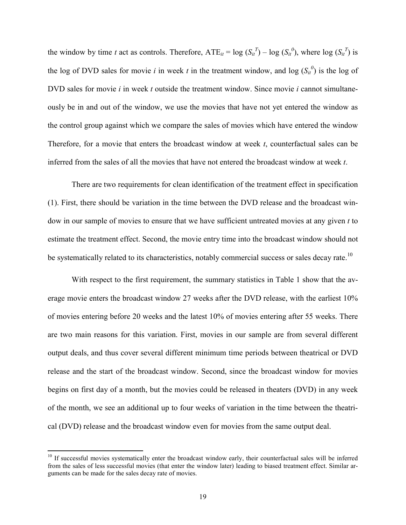the window by time *t* act as controls. Therefore,  $ATE_{it} = \log (S_{it}^T) - \log (S_{it}^0)$ , where  $\log (S_{it}^T)$  is the log of DVD sales for movie *i* in week *t* in the treatment window, and log  $(S_{it}^0)$  is the log of DVD sales for movie *i* in week *t* outside the treatment window. Since movie *i* cannot simultaneously be in and out of the window, we use the movies that have not yet entered the window as the control group against which we compare the sales of movies which have entered the window Therefore, for a movie that enters the broadcast window at week *t*, counterfactual sales can be inferred from the sales of all the movies that have not entered the broadcast window at week *t*.

There are two requirements for clean identification of the treatment effect in specification (1). First, there should be variation in the time between the DVD release and the broadcast window in our sample of movies to ensure that we have sufficient untreated movies at any given *t* to estimate the treatment effect. Second, the movie entry time into the broadcast window should not be systematically related to its characteristics, notably commercial success or sales decay rate.<sup>10</sup>

With respect to the first requirement, the summary statistics in Table 1 show that the average movie enters the broadcast window 27 weeks after the DVD release, with the earliest 10% of movies entering before 20 weeks and the latest 10% of movies entering after 55 weeks. There are two main reasons for this variation. First, movies in our sample are from several different output deals, and thus cover several different minimum time periods between theatrical or DVD release and the start of the broadcast window. Second, since the broadcast window for movies begins on first day of a month, but the movies could be released in theaters (DVD) in any week of the month, we see an additional up to four weeks of variation in the time between the theatrical (DVD) release and the broadcast window even for movies from the same output deal.

 $10$  If successful movies systematically enter the broadcast window early, their counterfactual sales will be inferred from the sales of less successful movies (that enter the window later) leading to biased treatment effect. Similar arguments can be made for the sales decay rate of movies.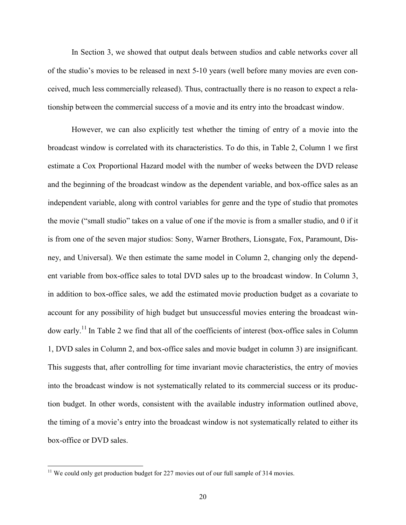In Section 3, we showed that output deals between studios and cable networks cover all of the studio's movies to be released in next 5-10 years (well before many movies are even conceived, much less commercially released). Thus, contractually there is no reason to expect a relationship between the commercial success of a movie and its entry into the broadcast window.

However, we can also explicitly test whether the timing of entry of a movie into the broadcast window is correlated with its characteristics. To do this, in Table 2, Column 1 we first estimate a Cox Proportional Hazard model with the number of weeks between the DVD release and the beginning of the broadcast window as the dependent variable, and box-office sales as an independent variable, along with control variables for genre and the type of studio that promotes the movie ("small studio" takes on a value of one if the movie is from a smaller studio, and 0 if it is from one of the seven major studios: Sony, Warner Brothers, Lionsgate, Fox, Paramount, Disney, and Universal). We then estimate the same model in Column 2, changing only the dependent variable from box-office sales to total DVD sales up to the broadcast window. In Column 3, in addition to box-office sales, we add the estimated movie production budget as a covariate to account for any possibility of high budget but unsuccessful movies entering the broadcast window early.<sup>11</sup> In Table 2 we find that all of the coefficients of interest (box-office sales in Column 1, DVD sales in Column 2, and box-office sales and movie budget in column 3) are insignificant. This suggests that, after controlling for time invariant movie characteristics, the entry of movies into the broadcast window is not systematically related to its commercial success or its production budget. In other words, consistent with the available industry information outlined above, the timing of a movie's entry into the broadcast window is not systematically related to either its box-office or DVD sales.

 $11$  We could only get production budget for 227 movies out of our full sample of 314 movies.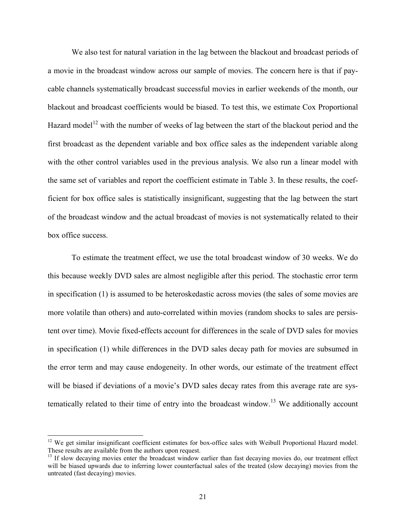We also test for natural variation in the lag between the blackout and broadcast periods of a movie in the broadcast window across our sample of movies. The concern here is that if paycable channels systematically broadcast successful movies in earlier weekends of the month, our blackout and broadcast coefficients would be biased. To test this, we estimate Cox Proportional Hazard model<sup>12</sup> with the number of weeks of lag between the start of the blackout period and the first broadcast as the dependent variable and box office sales as the independent variable along with the other control variables used in the previous analysis. We also run a linear model with the same set of variables and report the coefficient estimate in Table 3. In these results, the coefficient for box office sales is statistically insignificant, suggesting that the lag between the start of the broadcast window and the actual broadcast of movies is not systematically related to their box office success.

To estimate the treatment effect, we use the total broadcast window of 30 weeks. We do this because weekly DVD sales are almost negligible after this period. The stochastic error term in specification (1) is assumed to be heteroskedastic across movies (the sales of some movies are more volatile than others) and auto-correlated within movies (random shocks to sales are persistent over time). Movie fixed-effects account for differences in the scale of DVD sales for movies in specification (1) while differences in the DVD sales decay path for movies are subsumed in the error term and may cause endogeneity. In other words, our estimate of the treatment effect will be biased if deviations of a movie's DVD sales decay rates from this average rate are systematically related to their time of entry into the broadcast window.<sup>13</sup> We additionally account

<sup>&</sup>lt;sup>12</sup> We get similar insignificant coefficient estimates for box-office sales with Weibull Proportional Hazard model. These results are available from the authors upon request.

<sup>&</sup>lt;sup>13</sup> If slow decaying movies enter the broadcast window earlier than fast decaying movies do, our treatment effect will be biased upwards due to inferring lower counterfactual sales of the treated (slow decaying) movies from the untreated (fast decaying) movies.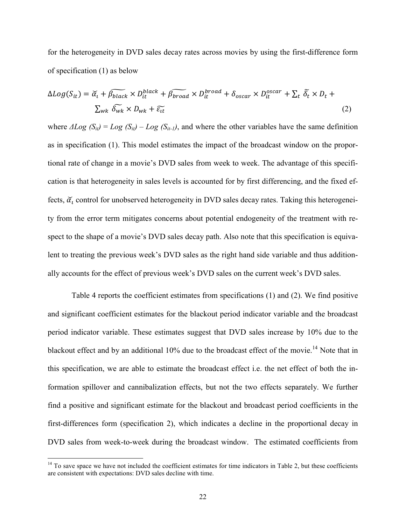for the heterogeneity in DVD sales decay rates across movies by using the first-difference form of specification (1) as below

$$
\Delta Log(S_{it}) = \tilde{\alpha}_t + \tilde{\beta}_{black} \times D_{it}^{black} + \tilde{\beta}_{broad} \times D_{it}^{broad} + \delta_{oscar} \times D_{it}^{oscar} + \sum_t \tilde{\delta}_t \times D_t + \sum_{wk} \tilde{\delta_{wk}} \times D_{wk} + \tilde{\epsilon}_{it}
$$
\n(2)

where  $\Delta Log$  ( $S_{it}$ ) =  $Log$  ( $S_{it}$ ) –  $Log$  ( $S_{it-1}$ ), and where the other variables have the same definition as in specification (1). This model estimates the impact of the broadcast window on the proportional rate of change in a movie's DVD sales from week to week. The advantage of this specification is that heterogeneity in sales levels is accounted for by first differencing, and the fixed effects,  $\tilde{\alpha}_t$  control for unobserved heterogeneity in DVD sales decay rates. Taking this heterogeneity from the error term mitigates concerns about potential endogeneity of the treatment with respect to the shape of a movie's DVD sales decay path. Also note that this specification is equivalent to treating the previous week's DVD sales as the right hand side variable and thus additionally accounts for the effect of previous week's DVD sales on the current week's DVD sales.

Table 4 reports the coefficient estimates from specifications (1) and (2). We find positive and significant coefficient estimates for the blackout period indicator variable and the broadcast period indicator variable. These estimates suggest that DVD sales increase by 10% due to the blackout effect and by an additional 10% due to the broadcast effect of the movie.<sup>14</sup> Note that in this specification, we are able to estimate the broadcast effect i.e. the net effect of both the information spillover and cannibalization effects, but not the two effects separately. We further find a positive and significant estimate for the blackout and broadcast period coefficients in the first-differences form (specification 2), which indicates a decline in the proportional decay in DVD sales from week-to-week during the broadcast window. The estimated coefficients from

 $14$  To save space we have not included the coefficient estimates for time indicators in Table 2, but these coefficients are consistent with expectations: DVD sales decline with time.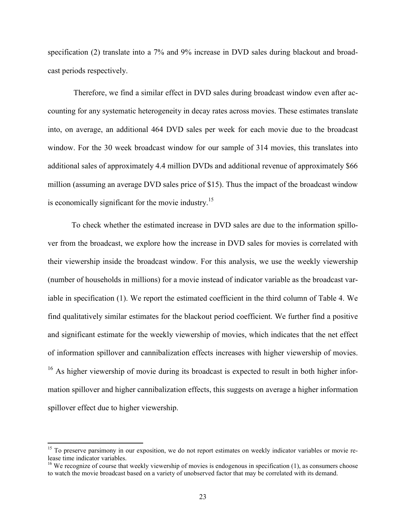specification (2) translate into a 7% and 9% increase in DVD sales during blackout and broadcast periods respectively.

Therefore, we find a similar effect in DVD sales during broadcast window even after accounting for any systematic heterogeneity in decay rates across movies. These estimates translate into, on average, an additional 464 DVD sales per week for each movie due to the broadcast window. For the 30 week broadcast window for our sample of 314 movies, this translates into additional sales of approximately 4.4 million DVDs and additional revenue of approximately \$66 million (assuming an average DVD sales price of \$15). Thus the impact of the broadcast window is economically significant for the movie industry.<sup>15</sup>

To check whether the estimated increase in DVD sales are due to the information spillover from the broadcast, we explore how the increase in DVD sales for movies is correlated with their viewership inside the broadcast window. For this analysis, we use the weekly viewership (number of households in millions) for a movie instead of indicator variable as the broadcast variable in specification (1). We report the estimated coefficient in the third column of Table 4. We find qualitatively similar estimates for the blackout period coefficient. We further find a positive and significant estimate for the weekly viewership of movies, which indicates that the net effect of information spillover and cannibalization effects increases with higher viewership of movies. <sup>16</sup> As higher viewership of movie during its broadcast is expected to result in both higher information spillover and higher cannibalization effects, this suggests on average a higher information spillover effect due to higher viewership.

<sup>&</sup>lt;sup>15</sup> To preserve parsimony in our exposition, we do not report estimates on weekly indicator variables or movie release time indicator variables.

 $16$  We recognize of course that weekly viewership of movies is endogenous in specification (1), as consumers choose to watch the movie broadcast based on a variety of unobserved factor that may be correlated with its demand.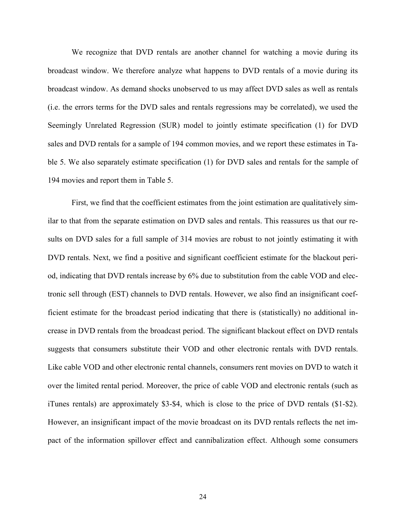We recognize that DVD rentals are another channel for watching a movie during its broadcast window. We therefore analyze what happens to DVD rentals of a movie during its broadcast window. As demand shocks unobserved to us may affect DVD sales as well as rentals (i.e. the errors terms for the DVD sales and rentals regressions may be correlated), we used the Seemingly Unrelated Regression (SUR) model to jointly estimate specification (1) for DVD sales and DVD rentals for a sample of 194 common movies, and we report these estimates in Table 5. We also separately estimate specification (1) for DVD sales and rentals for the sample of 194 movies and report them in Table 5.

First, we find that the coefficient estimates from the joint estimation are qualitatively similar to that from the separate estimation on DVD sales and rentals. This reassures us that our results on DVD sales for a full sample of 314 movies are robust to not jointly estimating it with DVD rentals. Next, we find a positive and significant coefficient estimate for the blackout period, indicating that DVD rentals increase by 6% due to substitution from the cable VOD and electronic sell through (EST) channels to DVD rentals. However, we also find an insignificant coefficient estimate for the broadcast period indicating that there is (statistically) no additional increase in DVD rentals from the broadcast period. The significant blackout effect on DVD rentals suggests that consumers substitute their VOD and other electronic rentals with DVD rentals. Like cable VOD and other electronic rental channels, consumers rent movies on DVD to watch it over the limited rental period. Moreover, the price of cable VOD and electronic rentals (such as iTunes rentals) are approximately \$3-\$4, which is close to the price of DVD rentals (\$1-\$2). However, an insignificant impact of the movie broadcast on its DVD rentals reflects the net impact of the information spillover effect and cannibalization effect. Although some consumers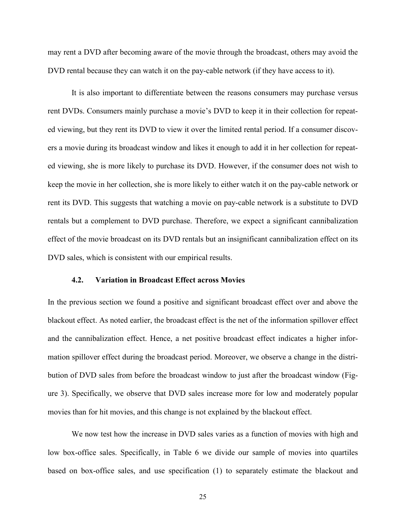may rent a DVD after becoming aware of the movie through the broadcast, others may avoid the DVD rental because they can watch it on the pay-cable network (if they have access to it).

It is also important to differentiate between the reasons consumers may purchase versus rent DVDs. Consumers mainly purchase a movie's DVD to keep it in their collection for repeated viewing, but they rent its DVD to view it over the limited rental period. If a consumer discovers a movie during its broadcast window and likes it enough to add it in her collection for repeated viewing, she is more likely to purchase its DVD. However, if the consumer does not wish to keep the movie in her collection, she is more likely to either watch it on the pay-cable network or rent its DVD. This suggests that watching a movie on pay-cable network is a substitute to DVD rentals but a complement to DVD purchase. Therefore, we expect a significant cannibalization effect of the movie broadcast on its DVD rentals but an insignificant cannibalization effect on its DVD sales, which is consistent with our empirical results.

#### 4.2. Variation in Broadcast Effect across Movies

In the previous section we found a positive and significant broadcast effect over and above the blackout effect. As noted earlier, the broadcast effect is the net of the information spillover effect and the cannibalization effect. Hence, a net positive broadcast effect indicates a higher information spillover effect during the broadcast period. Moreover, we observe a change in the distribution of DVD sales from before the broadcast window to just after the broadcast window (Figure 3). Specifically, we observe that DVD sales increase more for low and moderately popular movies than for hit movies, and this change is not explained by the blackout effect.

We now test how the increase in DVD sales varies as a function of movies with high and low box-office sales. Specifically, in Table 6 we divide our sample of movies into quartiles based on box-office sales, and use specification (1) to separately estimate the blackout and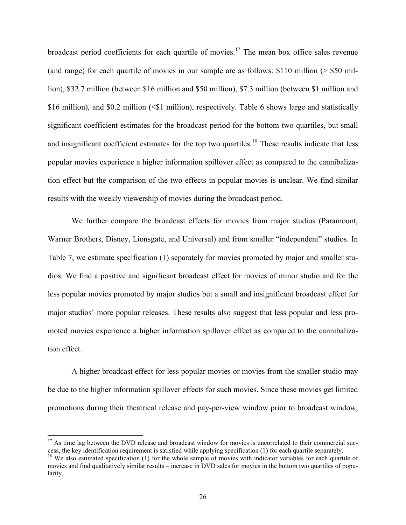broadcast period coefficients for each quartile of movies.<sup>17</sup> The mean box office sales revenue (and range) for each quartile of movies in our sample are as follows: \$110 million (> \$50 million), \$32.7 million (between \$16 million and \$50 million), \$7.3 million (between \$1 million and \$16 million), and \$0.2 million (<\$1 million), respectively. Table 6 shows large and statistically significant coefficient estimates for the broadcast period for the bottom two quartiles, but small and insignificant coefficient estimates for the top two quartiles.<sup>18</sup> These results indicate that less popular movies experience a higher information spillover effect as compared to the cannibalization effect but the comparison of the two effects in popular movies is unclear. We find similar results with the weekly viewership of movies during the broadcast period.

We further compare the broadcast effects for movies from major studios (Paramount, Warner Brothers, Disney, Lionsgate, and Universal) and from smaller "independent" studios. In Table 7, we estimate specification (1) separately for movies promoted by major and smaller studios. We find a positive and significant broadcast effect for movies of minor studio and for the less popular movies promoted by major studios but a small and insignificant broadcast effect for major studios' more popular releases. These results also suggest that less popular and less promoted movies experience a higher information spillover effect as compared to the cannibalization effect.

A higher broadcast effect for less popular movies or movies from the smaller studio may be due to the higher information spillover effects for such movies. Since these movies get limited promotions during their theatrical release and pay-per-view window prior to broadcast window,

 $17$  As time lag between the DVD release and broadcast window for movies is uncorrelated to their commercial success, the key identification requirement is satisfied while applying specification (1) for each quartile separately.

<sup>&</sup>lt;sup>18</sup> We also estimated specification (1) for the whole sample of movies with indicator variables for each quartile of movies and find qualitatively similar results – increase in DVD sales for movies in the bottom two quartiles of popularity.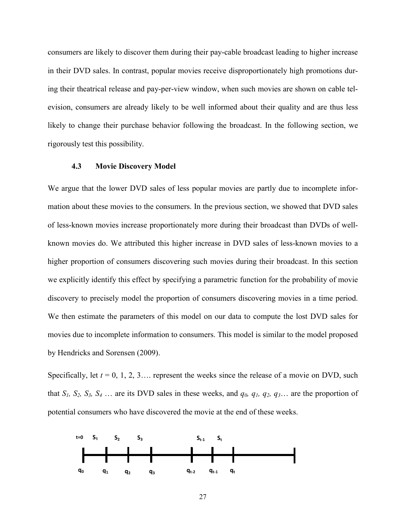consumers are likely to discover them during their pay-cable broadcast leading to higher increase in their DVD sales. In contrast, popular movies receive disproportionately high promotions during their theatrical release and pay-per-view window, when such movies are shown on cable television, consumers are already likely to be well informed about their quality and are thus less likely to change their purchase behavior following the broadcast. In the following section, we rigorously test this possibility.

#### 4.3 Movie Discovery Model

We argue that the lower DVD sales of less popular movies are partly due to incomplete information about these movies to the consumers. In the previous section, we showed that DVD sales of less-known movies increase proportionately more during their broadcast than DVDs of wellknown movies do. We attributed this higher increase in DVD sales of less-known movies to a higher proportion of consumers discovering such movies during their broadcast. In this section we explicitly identify this effect by specifying a parametric function for the probability of movie discovery to precisely model the proportion of consumers discovering movies in a time period. We then estimate the parameters of this model on our data to compute the lost DVD sales for movies due to incomplete information to consumers. This model is similar to the model proposed by Hendricks and Sorensen (2009).

Specifically, let  $t = 0, 1, 2, 3...$  represent the weeks since the release of a movie on DVD, such that  $S_1$ ,  $S_2$ ,  $S_3$ ,  $S_4$  ... are its DVD sales in these weeks, and  $q_0$ ,  $q_1$ ,  $q_2$ ,  $q_3$ ... are the proportion of potential consumers who have discovered the movie at the end of these weeks.

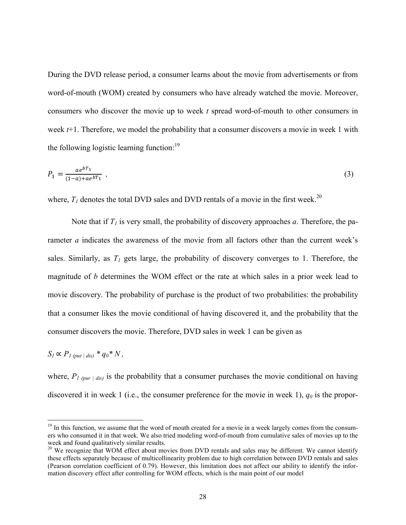During the DVD release period, a consumer learns about the movie from advertisements or from word-of-mouth (WOM) created by consumers who have already watched the movie. Moreover, consumers who discover the movie up to week *t* spread word-of-mouth to other consumers in week *t*+1. Therefore, we model the probability that a consumer discovers a movie in week 1 with the following logistic learning function:  $19$ 

$$
P_1 = \frac{ae^{bT_1}}{(1-a) + ae^{bT_1}},
$$
\n(3)

where,  $T_1$  denotes the total DVD sales and DVD rentals of a movie in the first week.<sup>20</sup>

Note that if  $T_l$  is very small, the probability of discovery approaches *a*. Therefore, the parameter *a* indicates the awareness of the movie from all factors other than the current week's sales. Similarly, as  $T<sub>I</sub>$  gets large, the probability of discovery converges to 1. Therefore, the magnitude of *b* determines the WOM effect or the rate at which sales in a prior week lead to movie discovery. The probability of purchase is the product of two probabilities: the probability that a consumer likes the movie conditional of having discovered it, and the probability that the consumer discovers the movie. Therefore, DVD sales in week 1 can be given as

$$
S_I \propto P_{I\ (pur\ |dis)} * q_0 * N,
$$

where,  $P_{1 (pur \mid dis)}$  is the probability that a consumer purchases the movie conditional on having discovered it in week 1 (i.e., the consumer preference for the movie in week 1),  $q_0$  is the propor-

<sup>&</sup>lt;sup>19</sup> In this function, we assume that the word of mouth created for a movie in a week largely comes from the consumers who consumed it in that week. We also tried modeling word-of-mouth from cumulative sales of movies up to the week and found qualitatively similar results.

<sup>&</sup>lt;sup>20</sup> We recognize that WOM effect about movies from DVD rentals and sales may be different. We cannot identify these effects separately because of multicollinearity problem due to high correlation between DVD rentals and sales (Pearson correlation coefficient of 0.79). However, this limitation does not affect our ability to identify the information discovery effect after controlling for WOM effects, which is the main point of our model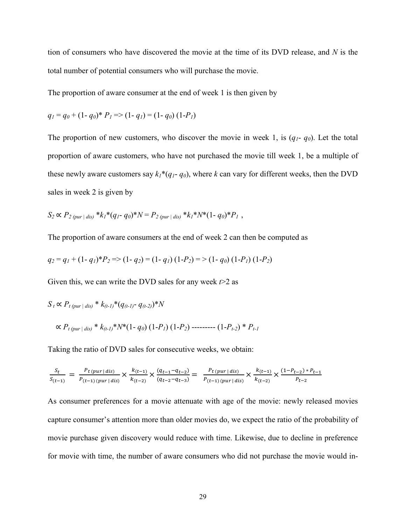tion of consumers who have discovered the movie at the time of its DVD release, and *N* is the total number of potential consumers who will purchase the movie.

The proportion of aware consumer at the end of week 1 is then given by

$$
q_1 = q_0 + (1 - q_0)^* P_1 \Rightarrow (1 - q_1) = (1 - q_0) (1 - P_1)
$$

The proportion of new customers, who discover the movie in week 1, is  $(q_1 - q_0)$ . Let the total proportion of aware customers, who have not purchased the movie till week 1, be a multiple of these newly aware customers say  $k_1*(q_1-q_0)$ , where *k* can vary for different weeks, then the DVD sales in week 2 is given by

$$
S_2 \propto P_{2\,(pur \,|\, dis)} * k_1 * (q_1 - q_0) * N = P_{2\,(pur \,|\, dis)} * k_1 * N * (1 - q_0) * P_1,
$$

The proportion of aware consumers at the end of week 2 can then be computed as

$$
q_2 = q_1 + (1 - q_1)^* P_2 \Longrightarrow (1 - q_2) = (1 - q_1) (1 - P_2) \Longrightarrow (1 - q_0) (1 - P_1) (1 - P_2)
$$

Given this, we can write the DVD sales for any week *t*>2 as

$$
S_t \propto P_{t\,(pur\,|\,dis)} * k_{(t-1)} * (q_{(t-1)-} - q_{(t-2)}) * N
$$
  
 
$$
\propto P_{t\,(pur\,|\,dis)} * k_{(t-1)} * N^*(1 - q_0) (1 - P_1) (1 - P_2) \cdots (1 - P_{t-2}) * P_{t-1}
$$

Taking the ratio of DVD sales for consecutive weeks, we obtain:

$$
\frac{S_t}{S_{(t-1)}} = \frac{P_t(pur \mid dis)}{P_{(t-1)}(pur \mid dis)} \times \frac{k_{(t-1)}}{k_{(t-2)}} \times \frac{(q_{t-1} - q_{t-2})}{(q_{t-2} - q_{t-3})} = \frac{P_t(pur \mid dis)}{P_{(t-1)}(pur \mid dis)} \times \frac{k_{(t-1)}}{k_{(t-2)}} \times \frac{(1 - P_{t-2}) * P_{t-1}}{P_{t-2}}
$$

As consumer preferences for a movie attenuate with age of the movie: newly released movies capture consumer's attention more than older movies do, we expect the ratio of the probability of movie purchase given discovery would reduce with time. Likewise, due to decline in preference for movie with time, the number of aware consumers who did not purchase the movie would in-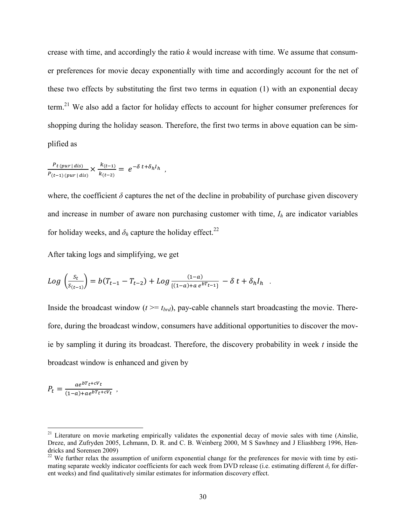crease with time, and accordingly the ratio *k* would increase with time. We assume that consumer preferences for movie decay exponentially with time and accordingly account for the net of these two effects by substituting the first two terms in equation (1) with an exponential decay term.<sup>21</sup> We also add a factor for holiday effects to account for higher consumer preferences for shopping during the holiday season. Therefore, the first two terms in above equation can be simplified as

$$
\frac{P_{t(pur|dis)}}{P_{(t-1)(pur|dis)}} \times \frac{k_{(t-1)}}{k_{(t-2)}} = e^{-\delta t + \delta_h I_h} ,
$$

where, the coefficient  $\delta$  captures the net of the decline in probability of purchase given discovery and increase in number of aware non purchasing customer with time,  $I_h$  are indicator variables for holiday weeks, and  $\delta_h$  capture the holiday effect.<sup>22</sup>

After taking logs and simplifying, we get

$$
Log\left(\frac{s_t}{s_{(t-1)}}\right) = b(T_{t-1} - T_{t-2}) + Log\frac{(1-a)}{\{(1-a)+a e^{bT_{t-1}}\}} - \delta t + \delta_h I_h.
$$

Inside the broadcast window  $(t \geq t_{brd})$ , pay-cable channels start broadcasting the movie. Therefore, during the broadcast window, consumers have additional opportunities to discover the movie by sampling it during its broadcast. Therefore, the discovery probability in week *t* inside the broadcast window is enhanced and given by

$$
P_t = \frac{ae^{bT_t + cV_t}}{(1-a) + ae^{bT_t + cV_t}} ,
$$

 $21$  Literature on movie marketing empirically validates the exponential decay of movie sales with time (Ainslie, Dreze, and Zufryden 2005, Lehmann, D. R. and C. B. Weinberg 2000, M S Sawhney and J Eliashberg 1996, Hendricks and Sorensen 2009)<br><sup>22</sup> We further relax the assumption of uniform exponential change for the preferences for movie with time by esti-

mating separate weekly indicator coefficients for each week from DVD release (i.e. estimating different  $\delta$ , for different weeks) and find qualitatively similar estimates for information discovery effect.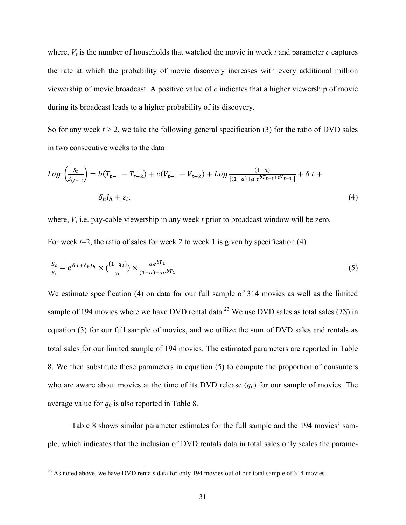where,  $V_t$  is the number of households that watched the movie in week  $t$  and parameter  $c$  captures the rate at which the probability of movie discovery increases with every additional million viewership of movie broadcast. A positive value of *c* indicates that a higher viewership of movie during its broadcast leads to a higher probability of its discovery.

So for any week  $t > 2$ , we take the following general specification (3) for the ratio of DVD sales in two consecutive weeks to the data

$$
Log\left(\frac{s_t}{s_{(t-1)}}\right) = b(T_{t-1} - T_{t-2}) + c(V_{t-1} - V_{t-2}) + Log\frac{(1-a)}{\{(1-a) + a e^{bT_{t-1} + cV_{t-1}}\}} + \delta t + \delta t + \delta h I_{h} + \varepsilon_t,
$$
\n(4)

where,  $V_t$  i.e. pay-cable viewership in any week  $t$  prior to broadcast window will be zero.

For week  $t=2$ , the ratio of sales for week 2 to week 1 is given by specification (4)

$$
\frac{S_2}{S_1} = e^{\delta t + \delta_h I_h} \times \left(\frac{(1 - q_0)}{q_0}\right) \times \frac{ae^{bT_1}}{(1 - a) + ae^{bT_1}}
$$
\n(5)

We estimate specification (4) on data for our full sample of 314 movies as well as the limited sample of 194 movies where we have DVD rental data. <sup>23</sup> We use DVD sales as total sales (*TS*) in equation (3) for our full sample of movies, and we utilize the sum of DVD sales and rentals as total sales for our limited sample of 194 movies. The estimated parameters are reported in Table 8. We then substitute these parameters in equation (5) to compute the proportion of consumers who are aware about movies at the time of its DVD release  $(q_0)$  for our sample of movies. The average value for  $q_0$  is also reported in Table 8.

Table 8 shows similar parameter estimates for the full sample and the 194 movies' sample, which indicates that the inclusion of DVD rentals data in total sales only scales the parame-

<sup>&</sup>lt;sup>23</sup> As noted above, we have DVD rentals data for only 194 movies out of our total sample of 314 movies.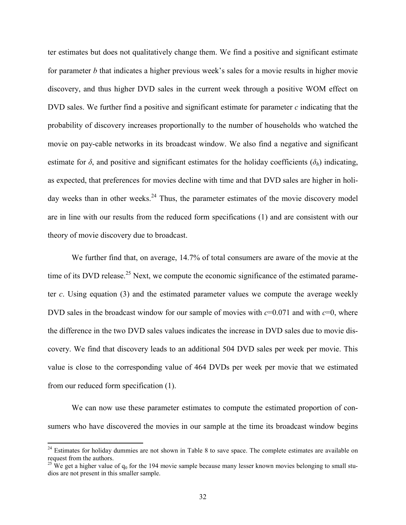ter estimates but does not qualitatively change them. We find a positive and significant estimate for parameter *b* that indicates a higher previous week's sales for a movie results in higher movie discovery, and thus higher DVD sales in the current week through a positive WOM effect on DVD sales. We further find a positive and significant estimate for parameter *c* indicating that the probability of discovery increases proportionally to the number of households who watched the movie on pay-cable networks in its broadcast window. We also find a negative and significant estimate for  $\delta$ , and positive and significant estimates for the holiday coefficients ( $\delta_h$ ) indicating, as expected, that preferences for movies decline with time and that DVD sales are higher in holiday weeks than in other weeks.<sup>24</sup> Thus, the parameter estimates of the movie discovery model are in line with our results from the reduced form specifications (1) and are consistent with our theory of movie discovery due to broadcast.

We further find that, on average, 14.7% of total consumers are aware of the movie at the time of its DVD release.<sup>25</sup> Next, we compute the economic significance of the estimated parameter *c*. Using equation (3) and the estimated parameter values we compute the average weekly DVD sales in the broadcast window for our sample of movies with *c*=0.071 and with *c*=0, where the difference in the two DVD sales values indicates the increase in DVD sales due to movie discovery. We find that discovery leads to an additional 504 DVD sales per week per movie. This value is close to the corresponding value of 464 DVDs per week per movie that we estimated from our reduced form specification (1).

We can now use these parameter estimates to compute the estimated proportion of consumers who have discovered the movies in our sample at the time its broadcast window begins

<sup>&</sup>lt;sup>24</sup> Estimates for holiday dummies are not shown in Table 8 to save space. The complete estimates are available on request from the authors.

<sup>&</sup>lt;sup>25</sup> We get a higher value of  $q_0$  for the 194 movie sample because many lesser known movies belonging to small studios are not present in this smaller sample.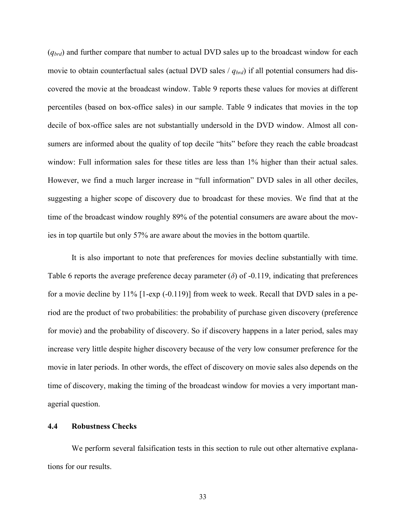(*qbrd*) and further compare that number to actual DVD sales up to the broadcast window for each movie to obtain counterfactual sales (actual DVD sales /  $q_{brd}$ ) if all potential consumers had discovered the movie at the broadcast window. Table 9 reports these values for movies at different percentiles (based on box-office sales) in our sample. Table 9 indicates that movies in the top decile of box-office sales are not substantially undersold in the DVD window. Almost all consumers are informed about the quality of top decile "hits" before they reach the cable broadcast window: Full information sales for these titles are less than  $1\%$  higher than their actual sales. However, we find a much larger increase in "full information" DVD sales in all other deciles, suggesting a higher scope of discovery due to broadcast for these movies. We find that at the time of the broadcast window roughly 89% of the potential consumers are aware about the movies in top quartile but only 57% are aware about the movies in the bottom quartile.

It is also important to note that preferences for movies decline substantially with time. Table 6 reports the average preference decay parameter  $(\delta)$  of -0.119, indicating that preferences for a movie decline by 11% [1-exp (-0.119)] from week to week. Recall that DVD sales in a period are the product of two probabilities: the probability of purchase given discovery (preference for movie) and the probability of discovery. So if discovery happens in a later period, sales may increase very little despite higher discovery because of the very low consumer preference for the movie in later periods. In other words, the effect of discovery on movie sales also depends on the time of discovery, making the timing of the broadcast window for movies a very important managerial question.

## 4.4 Robustness Checks

We perform several falsification tests in this section to rule out other alternative explanations for our results.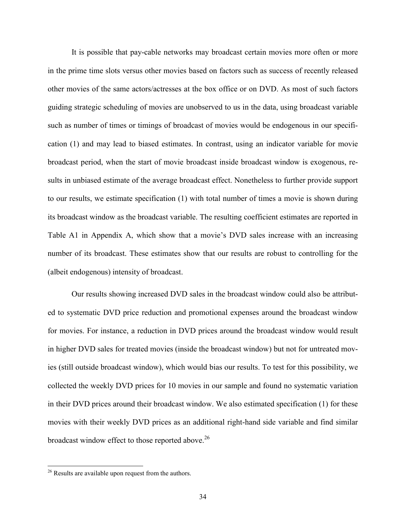It is possible that pay-cable networks may broadcast certain movies more often or more in the prime time slots versus other movies based on factors such as success of recently released other movies of the same actors/actresses at the box office or on DVD. As most of such factors guiding strategic scheduling of movies are unobserved to us in the data, using broadcast variable such as number of times or timings of broadcast of movies would be endogenous in our specification (1) and may lead to biased estimates. In contrast, using an indicator variable for movie broadcast period, when the start of movie broadcast inside broadcast window is exogenous, results in unbiased estimate of the average broadcast effect. Nonetheless to further provide support to our results, we estimate specification (1) with total number of times a movie is shown during its broadcast window as the broadcast variable. The resulting coefficient estimates are reported in Table A1 in Appendix A, which show that a movie's DVD sales increase with an increasing number of its broadcast. These estimates show that our results are robust to controlling for the (albeit endogenous) intensity of broadcast.

Our results showing increased DVD sales in the broadcast window could also be attributed to systematic DVD price reduction and promotional expenses around the broadcast window for movies. For instance, a reduction in DVD prices around the broadcast window would result in higher DVD sales for treated movies (inside the broadcast window) but not for untreated movies (still outside broadcast window), which would bias our results. To test for this possibility, we collected the weekly DVD prices for 10 movies in our sample and found no systematic variation in their DVD prices around their broadcast window. We also estimated specification (1) for these movies with their weekly DVD prices as an additional right-hand side variable and find similar broadcast window effect to those reported above.<sup>26</sup>

<sup>&</sup>lt;sup>26</sup> Results are available upon request from the authors.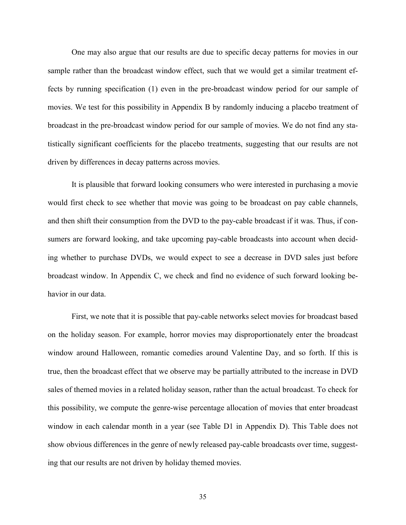One may also argue that our results are due to specific decay patterns for movies in our sample rather than the broadcast window effect, such that we would get a similar treatment effects by running specification (1) even in the pre-broadcast window period for our sample of movies. We test for this possibility in Appendix B by randomly inducing a placebo treatment of broadcast in the pre-broadcast window period for our sample of movies. We do not find any statistically significant coefficients for the placebo treatments, suggesting that our results are not driven by differences in decay patterns across movies.

It is plausible that forward looking consumers who were interested in purchasing a movie would first check to see whether that movie was going to be broadcast on pay cable channels, and then shift their consumption from the DVD to the pay-cable broadcast if it was. Thus, if consumers are forward looking, and take upcoming pay-cable broadcasts into account when deciding whether to purchase DVDs, we would expect to see a decrease in DVD sales just before broadcast window. In Appendix C, we check and find no evidence of such forward looking behavior in our data.

First, we note that it is possible that pay-cable networks select movies for broadcast based on the holiday season. For example, horror movies may disproportionately enter the broadcast window around Halloween, romantic comedies around Valentine Day, and so forth. If this is true, then the broadcast effect that we observe may be partially attributed to the increase in DVD sales of themed movies in a related holiday season, rather than the actual broadcast. To check for this possibility, we compute the genre-wise percentage allocation of movies that enter broadcast window in each calendar month in a year (see Table D1 in Appendix D). This Table does not show obvious differences in the genre of newly released pay-cable broadcasts over time, suggesting that our results are not driven by holiday themed movies.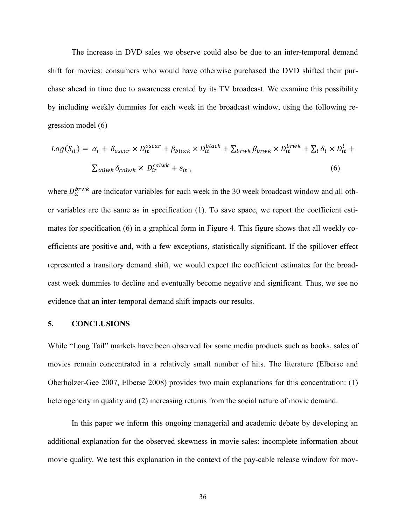The increase in DVD sales we observe could also be due to an inter-temporal demand shift for movies: consumers who would have otherwise purchased the DVD shifted their purchase ahead in time due to awareness created by its TV broadcast. We examine this possibility by including weekly dummies for each week in the broadcast window, using the following regression model (6)

$$
Log(S_{it}) = \alpha_i + \delta_{oscar} \times D_{it}^{oscar} + \beta_{black} \times D_{it}^{black} + \sum_{brwk} \beta_{brwk} \times D_{it}^{brwk} + \sum_t \delta_t \times D_{it}^t + \sum_{calwh} \delta_{calwk} \times D_{it}^{calwk} + \varepsilon_{it},
$$
\n(6)

where  $D_{it}^{brwk}$  are indicator variables for each week in the 30 week broadcast window and all other variables are the same as in specification (1). To save space, we report the coefficient estimates for specification (6) in a graphical form in Figure 4. This figure shows that all weekly coefficients are positive and, with a few exceptions, statistically significant. If the spillover effect represented a transitory demand shift, we would expect the coefficient estimates for the broadcast week dummies to decline and eventually become negative and significant. Thus, we see no evidence that an inter-temporal demand shift impacts our results.

#### 5. CONCLUSIONS

While "Long Tail" markets have been observed for some media products such as books, sales of movies remain concentrated in a relatively small number of hits. The literature (Elberse and Oberholzer-Gee 2007, Elberse 2008) provides two main explanations for this concentration: (1) heterogeneity in quality and (2) increasing returns from the social nature of movie demand.

In this paper we inform this ongoing managerial and academic debate by developing an additional explanation for the observed skewness in movie sales: incomplete information about movie quality. We test this explanation in the context of the pay-cable release window for mov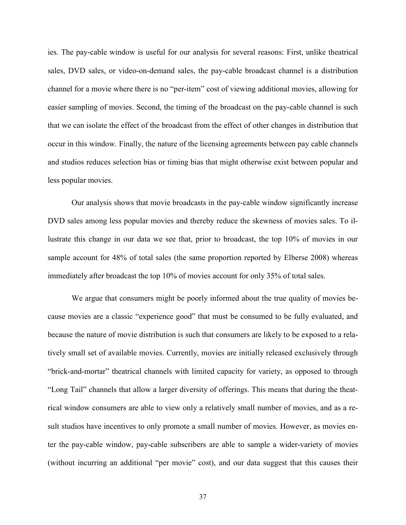ies. The pay-cable window is useful for our analysis for several reasons: First, unlike theatrical sales, DVD sales, or video-on-demand sales, the pay-cable broadcast channel is a distribution channel for a movie where there is no "per-item" cost of viewing additional movies, allowing for easier sampling of movies. Second, the timing of the broadcast on the pay-cable channel is such that we can isolate the effect of the broadcast from the effect of other changes in distribution that occur in this window. Finally, the nature of the licensing agreements between pay cable channels and studios reduces selection bias or timing bias that might otherwise exist between popular and less popular movies.

Our analysis shows that movie broadcasts in the pay-cable window significantly increase DVD sales among less popular movies and thereby reduce the skewness of movies sales. To illustrate this change in our data we see that, prior to broadcast, the top 10% of movies in our sample account for 48% of total sales (the same proportion reported by Elberse 2008) whereas immediately after broadcast the top 10% of movies account for only 35% of total sales.

We argue that consumers might be poorly informed about the true quality of movies because movies are a classic "experience good" that must be consumed to be fully evaluated, and because the nature of movie distribution is such that consumers are likely to be exposed to a relatively small set of available movies. Currently, movies are initially released exclusively through "brick-and-mortar" theatrical channels with limited capacity for variety, as opposed to through "Long Tail" channels that allow a larger diversity of offerings. This means that during the theatrical window consumers are able to view only a relatively small number of movies, and as a result studios have incentives to only promote a small number of movies. However, as movies enter the pay-cable window, pay-cable subscribers are able to sample a wider-variety of movies (without incurring an additional "per movie" cost), and our data suggest that this causes their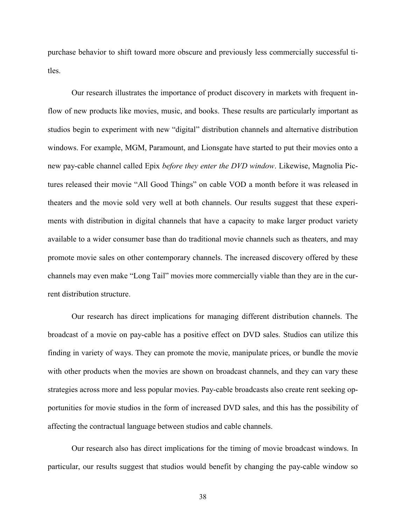purchase behavior to shift toward more obscure and previously less commercially successful titles.

Our research illustrates the importance of product discovery in markets with frequent inflow of new products like movies, music, and books. These results are particularly important as studios begin to experiment with new "digital" distribution channels and alternative distribution windows. For example, MGM, Paramount, and Lionsgate have started to put their movies onto a new pay-cable channel called Epix *before they enter the DVD window*. Likewise, Magnolia Pictures released their movie "All Good Things" on cable VOD a month before it was released in theaters and the movie sold very well at both channels. Our results suggest that these experiments with distribution in digital channels that have a capacity to make larger product variety available to a wider consumer base than do traditional movie channels such as theaters, and may promote movie sales on other contemporary channels. The increased discovery offered by these channels may even make "Long Tail" movies more commercially viable than they are in the current distribution structure.

Our research has direct implications for managing different distribution channels. The broadcast of a movie on pay-cable has a positive effect on DVD sales. Studios can utilize this finding in variety of ways. They can promote the movie, manipulate prices, or bundle the movie with other products when the movies are shown on broadcast channels, and they can vary these strategies across more and less popular movies. Pay-cable broadcasts also create rent seeking opportunities for movie studios in the form of increased DVD sales, and this has the possibility of affecting the contractual language between studios and cable channels.

Our research also has direct implications for the timing of movie broadcast windows. In particular, our results suggest that studios would benefit by changing the pay-cable window so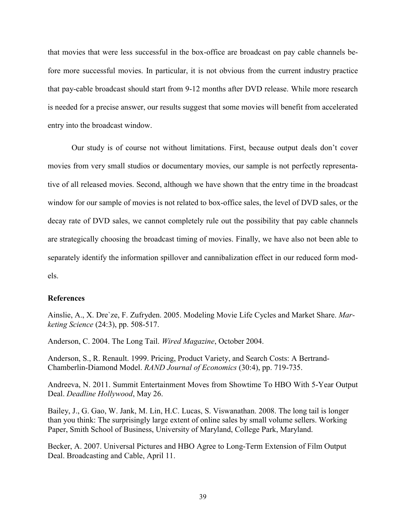that movies that were less successful in the box-office are broadcast on pay cable channels before more successful movies. In particular, it is not obvious from the current industry practice that pay-cable broadcast should start from 9-12 months after DVD release. While more research is needed for a precise answer, our results suggest that some movies will benefit from accelerated entry into the broadcast window.

Our study is of course not without limitations. First, because output deals don't cover movies from very small studios or documentary movies, our sample is not perfectly representative of all released movies. Second, although we have shown that the entry time in the broadcast window for our sample of movies is not related to box-office sales, the level of DVD sales, or the decay rate of DVD sales, we cannot completely rule out the possibility that pay cable channels are strategically choosing the broadcast timing of movies. Finally, we have also not been able to separately identify the information spillover and cannibalization effect in our reduced form models.

#### References

Ainslie, A., X. Dre`ze, F. Zufryden. 2005. Modeling Movie Life Cycles and Market Share. *Marketing Science* (24:3), pp. 508-517.

Anderson, C. 2004. The Long Tail. *Wired Magazine*, October 2004.

Anderson, S., R. Renault. 1999. Pricing, Product Variety, and Search Costs: A Bertrand-Chamberlin-Diamond Model. *RAND Journal of Economics* (30:4), pp. 719-735.

Andreeva, N. 2011. Summit Entertainment Moves from Showtime To HBO With 5-Year Output Deal. *Deadline Hollywood*, May 26.

Bailey, J., G. Gao, W. Jank, M. Lin, H.C. Lucas, S. Viswanathan. 2008. The long tail is longer than you think: The surprisingly large extent of online sales by small volume sellers. Working Paper, Smith School of Business, University of Maryland, College Park, Maryland.

Becker, A. 2007. Universal Pictures and HBO Agree to Long-Term Extension of Film Output Deal. Broadcasting and Cable, April 11.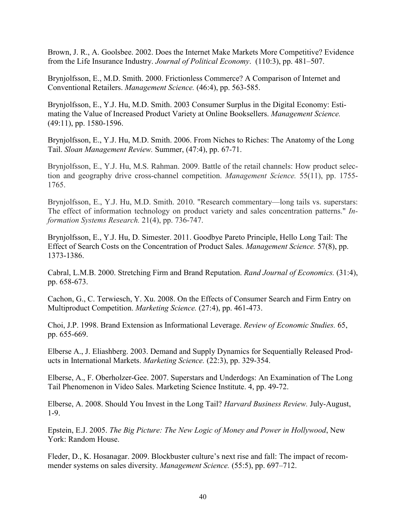Brown, J. R., A. Goolsbee. 2002. Does the Internet Make Markets More Competitive? Evidence from the Life Insurance Industry. *Journal of Political Economy*. (110:3), pp. 481–507.

Brynjolfsson, E., M.D. Smith. 2000. Frictionless Commerce? A Comparison of Internet and Conventional Retailers. *Management Science.* (46:4), pp. 563-585.

Brynjolfsson, E., Y.J. Hu, M.D. Smith. 2003 Consumer Surplus in the Digital Economy: Estimating the Value of Increased Product Variety at Online Booksellers. *Management Science.* (49:11), pp. 1580-1596.

Brynjolfsson, E., Y.J. Hu, M.D. Smith. 2006. From Niches to Riches: The Anatomy of the Long Tail. *Sloan Management Review.* Summer, (47:4), pp. 67-71.

Brynjolfsson, E., Y.J. Hu, M.S. Rahman. 2009. Battle of the retail channels: How product selection and geography drive cross-channel competition. *Management Science.* 55(11), pp. 1755- 1765.

Brynjolfsson, E., Y.J. Hu, M.D. Smith. 2010. "Research commentary—long tails vs. superstars: The effect of information technology on product variety and sales concentration patterns." *Information Systems Research.* 21(4), pp. 736-747.

Brynjolfsson, E., Y.J. Hu, D. Simester. 2011. Goodbye Pareto Principle, Hello Long Tail: The Effect of Search Costs on the Concentration of Product Sales. *Management Science.* 57(8), pp. 1373-1386.

Cabral, L.M.B. 2000. Stretching Firm and Brand Reputation. *Rand Journal of Economics.* (31:4), pp. 658-673.

Cachon, G., C. Terwiesch, Y. Xu. 2008. On the Effects of Consumer Search and Firm Entry on Multiproduct Competition. *Marketing Science.* (27:4), pp. 461-473.

Choi, J.P. 1998. Brand Extension as Informational Leverage. *Review of Economic Studies.* 65, pp. 655-669.

Elberse A., J. Eliashberg. 2003. Demand and Supply Dynamics for Sequentially Released Products in International Markets. *Marketing Science.* (22:3), pp. 329-354.

Elberse, A., F. Oberholzer-Gee. 2007. Superstars and Underdogs: An Examination of The Long Tail Phenomenon in Video Sales. Marketing Science Institute. 4, pp. 49-72.

Elberse, A. 2008. Should You Invest in the Long Tail? *Harvard Business Review.* July-August, 1-9.

Epstein, E.J. 2005. *The Big Picture: The New Logic of Money and Power in Hollywood*, New York: Random House.

Fleder, D., K. Hosanagar. 2009. Blockbuster culture's next rise and fall: The impact of recommender systems on sales diversity. *Management Science.* (55:5), pp. 697–712.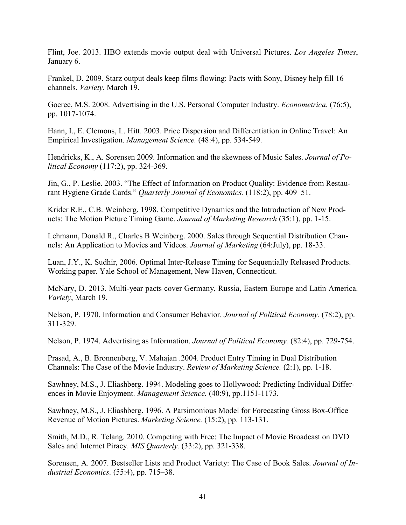Flint, Joe. 2013. HBO extends movie output deal with Universal Pictures. *Los Angeles Times*, January 6.

Frankel, D. 2009. Starz output deals keep films flowing: Pacts with Sony, Disney help fill 16 channels. *Variety*, March 19.

Goeree, M.S. 2008. Advertising in the U.S. Personal Computer Industry. *Econometrica.* (76:5), pp. 1017-1074.

Hann, I., E. Clemons, L. Hitt. 2003. Price Dispersion and Differentiation in Online Travel: An Empirical Investigation. *Management Science.* (48:4), pp. 534-549.

Hendricks, K., A. Sorensen 2009. Information and the skewness of Music Sales. *Journal of Political Economy* (117:2), pp. 324-369.

Jin, G., P. Leslie. 2003. "The Effect of Information on Product Quality: Evidence from Restaurant Hygiene Grade Cards." *Quarterly Journal of Economics.* (118:2), pp. 409–51.

Krider R.E., C.B. Weinberg. 1998. Competitive Dynamics and the Introduction of New Products: The Motion Picture Timing Game. *Journal of Marketing Research* (35:1), pp. 1-15.

Lehmann, Donald R., Charles B Weinberg. 2000. Sales through Sequential Distribution Channels: An Application to Movies and Videos. *Journal of Marketing* (64:July), pp. 18-33.

Luan, J.Y., K. Sudhir, 2006. Optimal Inter-Release Timing for Sequentially Released Products. Working paper. Yale School of Management, New Haven, Connecticut.

McNary, D. 2013. Multi-year pacts cover Germany, Russia, Eastern Europe and Latin America. *Variety*, March 19.

Nelson, P. 1970. Information and Consumer Behavior. *Journal of Political Economy.* (78:2), pp. 311-329.

Nelson, P. 1974. Advertising as Information. *Journal of Political Economy.* (82:4), pp. 729-754.

Prasad, A., B. Bronnenberg, V. Mahajan .2004. Product Entry Timing in Dual Distribution Channels: The Case of the Movie Industry. *Review of Marketing Science.* (2:1), pp. 1-18.

Sawhney, M.S., J. Eliashberg. 1994. Modeling goes to Hollywood: Predicting Individual Differences in Movie Enjoyment. *Management Science.* (40:9), pp.1151-1173.

Sawhney, M.S., J. Eliashberg. 1996. A Parsimonious Model for Forecasting Gross Box-Office Revenue of Motion Pictures. *Marketing Science.* (15:2), pp. 113-131.

Smith, M.D., R. Telang. 2010. Competing with Free: The Impact of Movie Broadcast on DVD Sales and Internet Piracy. *MIS Quarterly.* (33:2), pp. 321-338.

Sorensen, A. 2007. Bestseller Lists and Product Variety: The Case of Book Sales. *Journal of Industrial Economics.* (55:4), pp. 715–38.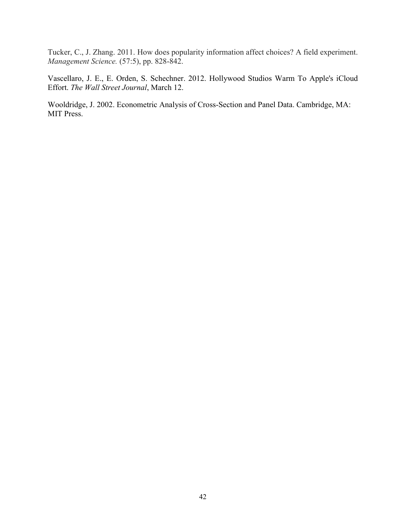Tucker, C., J. Zhang. 2011. How does popularity information affect choices? A field experiment. *Management Science.* (57:5), pp. 828-842.

Vascellaro, J. E., E. Orden, S. Schechner. 2012. Hollywood Studios Warm To Apple's iCloud Effort. *The Wall Street Journal*, March 12.

Wooldridge, J. 2002. Econometric Analysis of Cross-Section and Panel Data. Cambridge, MA: MIT Press.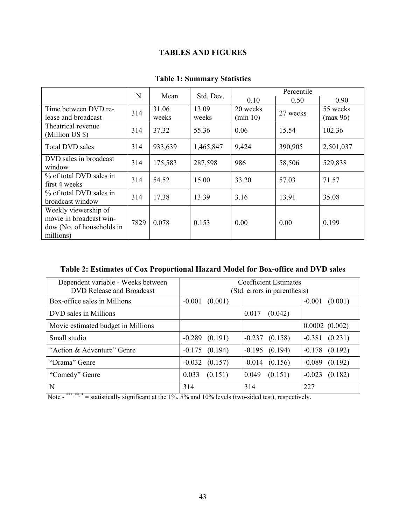# TABLES AND FIGURES

|                                                                                           | N    |                |                | Std. Dev.<br>Mean    |          |                      | Percentile |  |  |
|-------------------------------------------------------------------------------------------|------|----------------|----------------|----------------------|----------|----------------------|------------|--|--|
|                                                                                           |      |                |                | 0.10                 | 0.50     | 0.90                 |            |  |  |
| Time between DVD re-<br>lease and broadcast                                               | 314  | 31.06<br>weeks | 13.09<br>weeks | 20 weeks<br>(min 10) | 27 weeks | 55 weeks<br>(max 96) |            |  |  |
| Theatrical revenue<br>(Million US \$)                                                     | 314  | 37.32          | 55.36          | 0.06                 | 15.54    | 102.36               |            |  |  |
| <b>Total DVD sales</b>                                                                    | 314  | 933,639        | 1,465,847      | 9,424                | 390,905  | 2,501,037            |            |  |  |
| DVD sales in broadcast<br>window                                                          | 314  | 175,583        | 287,598        | 986                  | 58,506   | 529,838              |            |  |  |
| % of total DVD sales in<br>first 4 weeks                                                  | 314  | 54.52          | 15.00          | 33.20                | 57.03    | 71.57                |            |  |  |
| % of total DVD sales in<br>broadcast window                                               | 314  | 17.38          | 13.39          | 3.16                 | 13.91    | 35.08                |            |  |  |
| Weekly viewership of<br>movie in broadcast win-<br>dow (No. of households in<br>millions) | 7829 | 0.078          | 0.153          | 0.00                 | 0.00     | 0.199                |            |  |  |

## Table 1: Summary Statistics

## Table 2: Estimates of Cox Proportional Hazard Model for Box-office and DVD sales

| Dependent variable - Weeks between<br><b>DVD Release and Broadcast</b> | <b>Coefficient Estimates</b><br>(Std. errors in parenthesis) |                     |                     |
|------------------------------------------------------------------------|--------------------------------------------------------------|---------------------|---------------------|
| Box-office sales in Millions                                           | $-0.001$<br>(0.001)                                          |                     | $-0.001$<br>(0.001) |
| DVD sales in Millions                                                  |                                                              | (0.042)<br>0.017    |                     |
| Movie estimated budget in Millions                                     |                                                              |                     | 0.0002(0.002)       |
| Small studio                                                           | $-0.289$ $(0.191)$                                           | $-0.237$ $(0.158)$  | (0.231)<br>$-0.381$ |
| "Action & Adventure" Genre                                             | $-0.175$ $(0.194)$                                           | $-0.195$<br>(0.194) | $-0.178$<br>(0.192) |
| "Drama" Genre                                                          | $-0.032$ $(0.157)$                                           | $-0.014$<br>(0.156) | (0.192)<br>$-0.089$ |
| "Comedy" Genre                                                         | 0.033<br>(0.151)                                             | 0.049<br>(0.151)    | $-0.023$<br>(0.182) |
| N                                                                      | 314                                                          | 314                 | 227                 |

Note  $-$ <sup>\*\*\*,\*\*,\*</sup> = statistically significant at the 1%, 5% and 10% levels (two-sided test), respectively.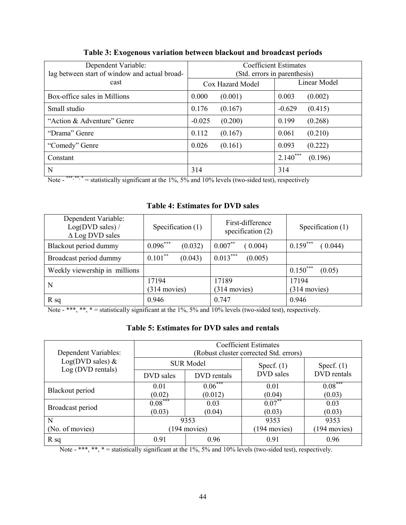| Dependent Variable:<br>lag between start of window and actual broad- |                     | <b>Coefficient Estimates</b><br>(Std. errors in parenthesis) |
|----------------------------------------------------------------------|---------------------|--------------------------------------------------------------|
| cast                                                                 | Cox Hazard Model    | Linear Model                                                 |
| Box-office sales in Millions                                         | 0.000<br>(0.001)    | 0.003<br>(0.002)                                             |
| Small studio                                                         | 0.176<br>(0.167)    | $-0.629$<br>(0.415)                                          |
| "Action & Adventure" Genre                                           | (0.200)<br>$-0.025$ | (0.268)<br>0.199                                             |
| "Drama" Genre                                                        | 0.112<br>(0.167)    | (0.210)<br>0.061                                             |
| "Comedy" Genre                                                       | 0.026<br>(0.161)    | (0.222)<br>0.093                                             |
| Constant                                                             |                     | $2.140***$<br>(0.196)                                        |
| N                                                                    | 314                 | 314                                                          |

Table 3: Exogenous variation between blackout and broadcast periods

Note  $-$ <sup>\*\*\*, \*\*</sup>, \* = statistically significant at the 1%, 5% and 10% levels (two-sided test), respectively

## Table 4: Estimates for DVD sales

| Dependent Variable:<br>Log(DVD sales) /<br>$\triangle$ Log DVD sales | Specification (1)     | First-difference<br>specification $(2)$ | Specification $(1)$   |
|----------------------------------------------------------------------|-----------------------|-----------------------------------------|-----------------------|
| Blackout period dummy                                                | $0.096***$<br>(0.032) | $0.007***$<br>(0.004)                   | $0.159***$<br>(0.044) |
| Broadcast period dummy                                               | $0.101***$<br>(0.043) | $0.013***$<br>(0.005)                   |                       |
| Weekly viewership in millions                                        |                       |                                         | $0.150***$<br>(0.05)  |
| N                                                                    | 17194                 | 17189                                   | 17194                 |
|                                                                      | $(314$ movies)        | $(314$ movies)                          | $(314$ movies)        |
| $R_{sq}$                                                             | 0.946                 | 0.747                                   | 0.946                 |

Note - \*\*\*, \*\*, \* = statistically significant at the 1%, 5% and 10% levels (two-sided test), respectively.

## Table 5: Estimates for DVD sales and rentals

| Dependent Variables:                    |                  |             | <b>Coefficient Estimates</b><br>(Robust cluster corrected Std. errors) |                |  |
|-----------------------------------------|------------------|-------------|------------------------------------------------------------------------|----------------|--|
| Log(DVD sales) $&$<br>Log (DVD rentals) | <b>SUR Model</b> |             | Specf. $(1)$                                                           | Specf. $(1)$   |  |
|                                         | DVD sales        | DVD rentals | DVD sales                                                              | DVD rentals    |  |
| Blackout period                         | 0.01             | $0.06***$   | 0.01                                                                   | $0.08***$      |  |
|                                         | (0.02)           | (0.012)     | (0.04)                                                                 | (0.03)         |  |
| Broadcast period                        | $0.08***$        | 0.03        | $0.07***$                                                              | 0.03           |  |
|                                         | (0.03)           | (0.04)      | (0.03)                                                                 | (0.03)         |  |
| N                                       | 9353             |             | 9353                                                                   | 9353           |  |
| (No. of movies)                         | (194 movies)     |             | $(194$ movies)                                                         | $(194$ movies) |  |
| $R_{sq}$                                | 0.91             | 0.96        | 0.91                                                                   | 0.96           |  |

Note  $-$  \*\*\*, \*\*, \* = statistically significant at the 1%, 5% and 10% levels (two-sided test), respectively.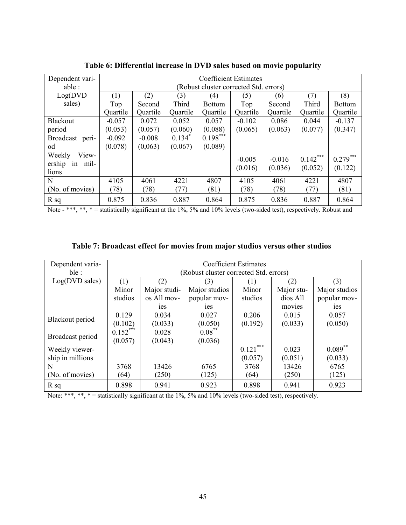| Dependent vari-      | <b>Coefficient Estimates</b> |          |             |                                        |          |          |            |               |
|----------------------|------------------------------|----------|-------------|----------------------------------------|----------|----------|------------|---------------|
| able :               |                              |          |             | (Robust cluster corrected Std. errors) |          |          |            |               |
| Log(DVD)             | (1)                          | (2)      | (3)         | (4)                                    | (5)      | (6)      | (7)        | (8)           |
| sales)               | Top                          | Second   | Third       | <b>Bottom</b>                          | Top      | Second   | Third      | <b>Bottom</b> |
|                      | Quartile                     | Quartile | Quartile    | Quartile                               | Quartile | Quartile | Quartile   | Quartile      |
| <b>Blackout</b>      | $-0.057$                     | 0.072    | 0.052       | 0.057                                  | $-0.102$ | 0.086    | 0.044      | $-0.137$      |
| period               | (0.053)                      | (0.057)  | (0.060)     | (0.088)                                | (0.065)  | (0.063)  | (0.077)    | (0.347)       |
| Broadcast<br>peri-   | $-0.092$                     | $-0.008$ | $0.134^{*}$ | $0.198***$                             |          |          |            |               |
| od                   | (0.078)                      | (0,063)  | (0.067)     | (0.089)                                |          |          |            |               |
| Weekly<br>View-      |                              |          |             |                                        | $-0.005$ | $-0.016$ | $0.142***$ | $0.279***$    |
| mil-<br>ership<br>1n |                              |          |             |                                        | (0.016)  | (0.036)  | (0.052)    | (0.122)       |
| lions                |                              |          |             |                                        |          |          |            |               |
| N                    | 4105                         | 4061     | 4221        | 4807                                   | 4105     | 4061     | 4221       | 4807          |
| (No. of movies)      | (78)                         | (78)     | (77)        | (81)                                   | (78)     | (78)     | (77)       | (81)          |
| $R_{sq}$             | 0.875                        | 0.836    | 0.887       | 0.864                                  | 0.875    | 0.836    | 0.887      | 0.864         |

Table 6: Differential increase in DVD sales based on movie popularity

Note - \*\*\*, \*\*, \* = statistically significant at the 1%, 5% and 10% levels (two-sided test), respectively. Robust and

| Dependent varia- | <b>Coefficient Estimates</b> |                |                                        |            |            |                |
|------------------|------------------------------|----------------|----------------------------------------|------------|------------|----------------|
| ble:             |                              |                | (Robust cluster corrected Std. errors) |            |            |                |
| Log(DVD sales)   | (1)                          | (2)            | (3)                                    | (1)        | (2)        | (3)            |
|                  | Minor                        | Major studi-   | Major studios                          | Minor      | Major stu- | Major studios  |
|                  | studios                      | os All mov-    | popular mov-                           | studios    | dios All   | popular mov-   |
|                  |                              | <sub>1es</sub> | <sub>1es</sub>                         |            | movies     | <sub>1es</sub> |
| Blackout period  | 0.129                        | 0.034          | 0.027                                  | 0.206      | 0.015      | 0.057          |
|                  | (0.102)                      | (0.033)        | (0.050)                                | (0.192)    | (0.033)    | (0.050)        |
|                  | $0.152***$                   | 0.028          | $0.08***$                              |            |            |                |
| Broadcast period | (0.057)                      | (0.043)        | (0.036)                                |            |            |                |
| Weekly viewer-   |                              |                |                                        | $0.121***$ | 0.023      | $0.089**$      |
| ship in millions |                              |                |                                        | (0.057)    | (0.051)    | (0.033)        |
| N                | 3768                         | 13426          | 6765                                   | 3768       | 13426      | 6765           |
| (No. of movies)  | (64)                         | (250)          | (125)                                  | (64)       | (250)      | (125)          |
| $R_{sq}$         | 0.898                        | 0.941          | 0.923                                  | 0.898      | 0.941      | 0.923          |

Note: \*\*\*, \*\*, \* = statistically significant at the 1%, 5% and 10% levels (two-sided test), respectively.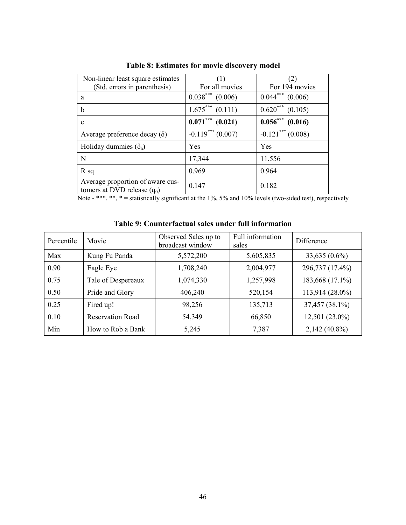| Non-linear least square estimates                                 | (1)                   | (2)                   |
|-------------------------------------------------------------------|-----------------------|-----------------------|
| (Std. errors in parenthesis)                                      | For all movies        | For 194 movies        |
| a                                                                 | $0.038***$ (0.006)    | $0.044***$ $(0.006)$  |
| b                                                                 | $1.675***$ (0.111)    | $0.620***$ $(0.105)$  |
| $\mathbf c$                                                       | $0.071***$<br>(0.021) | $0.056***$<br>(0.016) |
| Average preference decay $(\delta)$                               | $-0.119***(0.007)$    | $-0.121***(0.008)$    |
| Holiday dummies $(\delta_h)$                                      | Yes                   | Yes                   |
| N                                                                 | 17,344                | 11,556                |
| $R_{sq}$                                                          | 0.969                 | 0.964                 |
| Average proportion of aware cus-<br>tomers at DVD release $(q_0)$ | 0.147                 | 0.182                 |

Table 8: Estimates for movie discovery model

Note - \*\*\*, \*\*, \* = statistically significant at the  $1\%$ ,  $5\%$  and  $10\%$  levels (two-sided test), respectively

|  | Table 9: Counterfactual sales under full information |  |
|--|------------------------------------------------------|--|
|  |                                                      |  |

| Percentile | Movie                   | Observed Sales up to<br>broadcast window | Full information<br>sales | Difference       |
|------------|-------------------------|------------------------------------------|---------------------------|------------------|
| Max        | Kung Fu Panda           | 5,572,200                                | 5,605,835                 | $33,635(0.6\%)$  |
| 0.90       | Eagle Eye               | 1,708,240                                | 2,004,977                 | 296,737 (17.4%)  |
| 0.75       | Tale of Despereaux      | 1,074,330                                | 1,257,998                 | 183,668 (17.1%)  |
| 0.50       | Pride and Glory         | 406,240                                  | 520,154                   | 113,914 (28.0%)  |
| 0.25       | Fired up!               | 98,256                                   | 135,713                   | 37,457 (38.1%)   |
| 0.10       | <b>Reservation Road</b> | 54,349                                   | 66,850                    | $12,501(23.0\%)$ |
| Min        | How to Rob a Bank       | 5,245                                    | 7,387                     | $2,142(40.8\%)$  |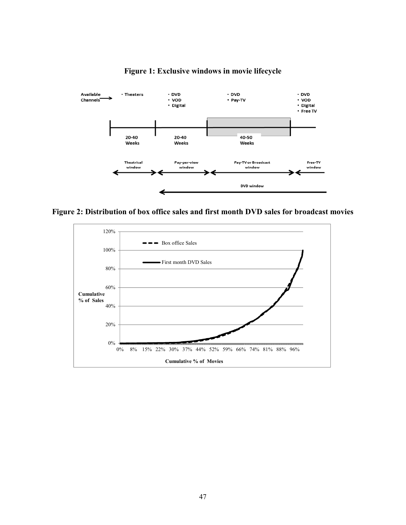

Figure 1: Exclusive windows in movie lifecycle

Figure 2: Distribution of box office sales and first month DVD sales for broadcast movies

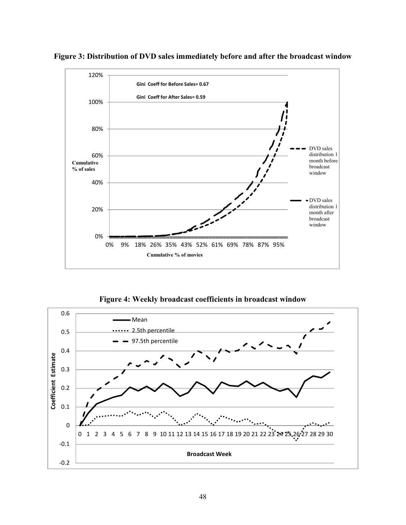

Figure 3: Distribution of DVD sales immediately before and after the broadcast window

Figure 4: Weekly broadcast coefficients in broadcast window

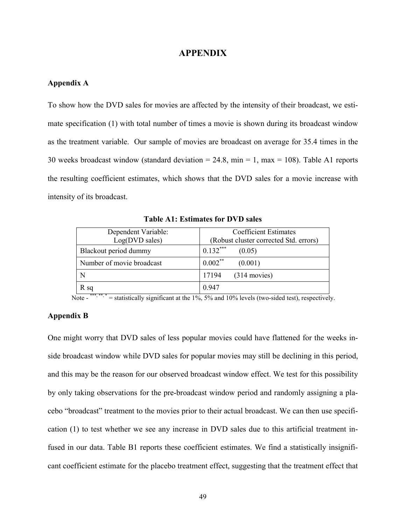### APPENDIX

### Appendix A

To show how the DVD sales for movies are affected by the intensity of their broadcast, we estimate specification (1) with total number of times a movie is shown during its broadcast window as the treatment variable. Our sample of movies are broadcast on average for 35.4 times in the 30 weeks broadcast window (standard deviation = 24.8, min = 1, max = 108). Table A1 reports the resulting coefficient estimates, which shows that the DVD sales for a movie increase with intensity of its broadcast.

| Dependent Variable:<br>Log(DVD sales) | <b>Coefficient Estimates</b><br>(Robust cluster corrected Std. errors) |
|---------------------------------------|------------------------------------------------------------------------|
| Blackout period dummy                 | $0.132***$<br>(0.05)                                                   |
| Number of movie broadcast             | $0.002***$<br>(0.001)                                                  |
| N                                     | 17194<br>$(314$ movies)                                                |
| R sq                                  | 0.947                                                                  |

Table A1: Estimates for DVD sales

Note  $-$ <sup>\*\*\*, \*\*</sup>,  $=$  statistically significant at the 1%, 5% and 10% levels (two-sided test), respectively.

## Appendix B

One might worry that DVD sales of less popular movies could have flattened for the weeks inside broadcast window while DVD sales for popular movies may still be declining in this period, and this may be the reason for our observed broadcast window effect. We test for this possibility by only taking observations for the pre-broadcast window period and randomly assigning a placebo "broadcast" treatment to the movies prior to their actual broadcast. We can then use specification (1) to test whether we see any increase in DVD sales due to this artificial treatment infused in our data. Table B1 reports these coefficient estimates. We find a statistically insignificant coefficient estimate for the placebo treatment effect, suggesting that the treatment effect that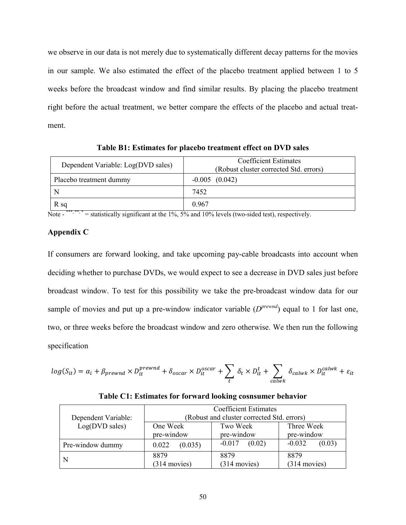we observe in our data is not merely due to systematically different decay patterns for the movies in our sample. We also estimated the effect of the placebo treatment applied between 1 to 5 weeks before the broadcast window and find similar results. By placing the placebo treatment right before the actual treatment, we better compare the effects of the placebo and actual treatment.

| Dependent Variable: Log(DVD sales) | <b>Coefficient Estimates</b><br>(Robust cluster corrected Std. errors) |  |  |
|------------------------------------|------------------------------------------------------------------------|--|--|
| Placebo treatment dummy            | $-0.005$ $(0.042)$                                                     |  |  |
|                                    | 7452                                                                   |  |  |
| R sq                               | 0.967                                                                  |  |  |

Table B1: Estimates for placebo treatment effect on DVD sales

Note  $-$ <sup>\*\*\*, \*\*</sup>, \* = statistically significant at the 1%, 5% and 10% levels (two-sided test), respectively.

## Appendix C

If consumers are forward looking, and take upcoming pay-cable broadcasts into account when deciding whether to purchase DVDs, we would expect to see a decrease in DVD sales just before broadcast window. To test for this possibility we take the pre-broadcast window data for our sample of movies and put up a pre-window indicator variable  $(D^{prewnd})$  equal to 1 for last one, two, or three weeks before the broadcast window and zero otherwise. We then run the following specification

$$
log(S_{it}) = \alpha_i + \beta_{prewnd} \times D_{it}^{prewnd} + \delta_{oscar} \times D_{it}^{oscar} + \sum_{t} \delta_t \times D_{it}^t + \sum_{calw} \delta_{calwk} \times D_{it}^{calwk} + \varepsilon_{it}
$$

|  |  | Table C1: Estimates for forward looking cosnsumer behavior |
|--|--|------------------------------------------------------------|
|--|--|------------------------------------------------------------|

|                     | <b>Coefficient Estimates</b>               |                    |                    |  |
|---------------------|--------------------------------------------|--------------------|--------------------|--|
| Dependent Variable: | (Robust and cluster corrected Std. errors) |                    |                    |  |
| Log(DVD sales)      | One Week                                   | Two Week           | Three Week         |  |
|                     | pre-window                                 | pre-window         | pre-window         |  |
| Pre-window dummy    | (0.035)<br>0.022                           | (0.02)<br>$-0.017$ | (0.03)<br>$-0.032$ |  |
| N                   | 8879                                       | 8879               | 8879               |  |
|                     | $(314$ movies)                             | $(314$ movies)     | $(314$ movies)     |  |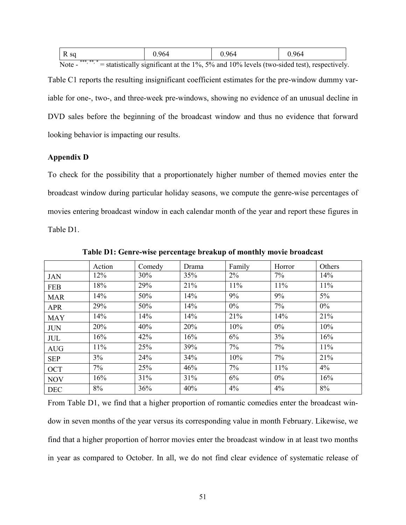| R sq     | 964<br>し・ノリー | 964<br>ノソコ<br>w. | 0.964 |
|----------|--------------|------------------|-------|
| *** ** * |              |                  |       |

Note  $-$  \*\*\*, \*\*, \* = statistically significant at the 1%, 5% and 10% levels (two-sided test), respectively.

Table C1 reports the resulting insignificant coefficient estimates for the pre-window dummy variable for one-, two-, and three-week pre-windows, showing no evidence of an unusual decline in DVD sales before the beginning of the broadcast window and thus no evidence that forward looking behavior is impacting our results.

## Appendix D

To check for the possibility that a proportionately higher number of themed movies enter the broadcast window during particular holiday seasons, we compute the genre-wise percentages of movies entering broadcast window in each calendar month of the year and report these figures in Table D1.

|            | Action | Comedy | Drama | Family | Horror | Others |
|------------|--------|--------|-------|--------|--------|--------|
| <b>JAN</b> | 12%    | 30%    | 35%   | $2\%$  | 7%     | 14%    |
| <b>FEB</b> | 18%    | 29%    | 21%   | 11%    | 11%    | 11%    |
| <b>MAR</b> | 14%    | 50%    | 14%   | 9%     | 9%     | $5\%$  |
| <b>APR</b> | 29%    | 50%    | 14%   | $0\%$  | 7%     | $0\%$  |
| <b>MAY</b> | 14%    | 14%    | 14%   | 21%    | 14%    | 21%    |
| <b>JUN</b> | 20%    | 40%    | 20%   | 10%    | $0\%$  | 10%    |
| <b>JUL</b> | 16%    | 42%    | 16%   | 6%     | 3%     | 16%    |
| <b>AUG</b> | 11%    | 25%    | 39%   | 7%     | $7\%$  | 11%    |
| <b>SEP</b> | 3%     | 24%    | 34%   | 10%    | $7\%$  | 21%    |
| <b>OCT</b> | 7%     | 25%    | 46%   | 7%     | 11%    | 4%     |
| <b>NOV</b> | 16%    | 31%    | 31%   | 6%     | $0\%$  | 16%    |
| <b>DEC</b> | 8%     | 36%    | 40%   | 4%     | 4%     | 8%     |

Table D1: Genre-wise percentage breakup of monthly movie broadcast

From Table D1, we find that a higher proportion of romantic comedies enter the broadcast window in seven months of the year versus its corresponding value in month February. Likewise, we find that a higher proportion of horror movies enter the broadcast window in at least two months in year as compared to October. In all, we do not find clear evidence of systematic release of